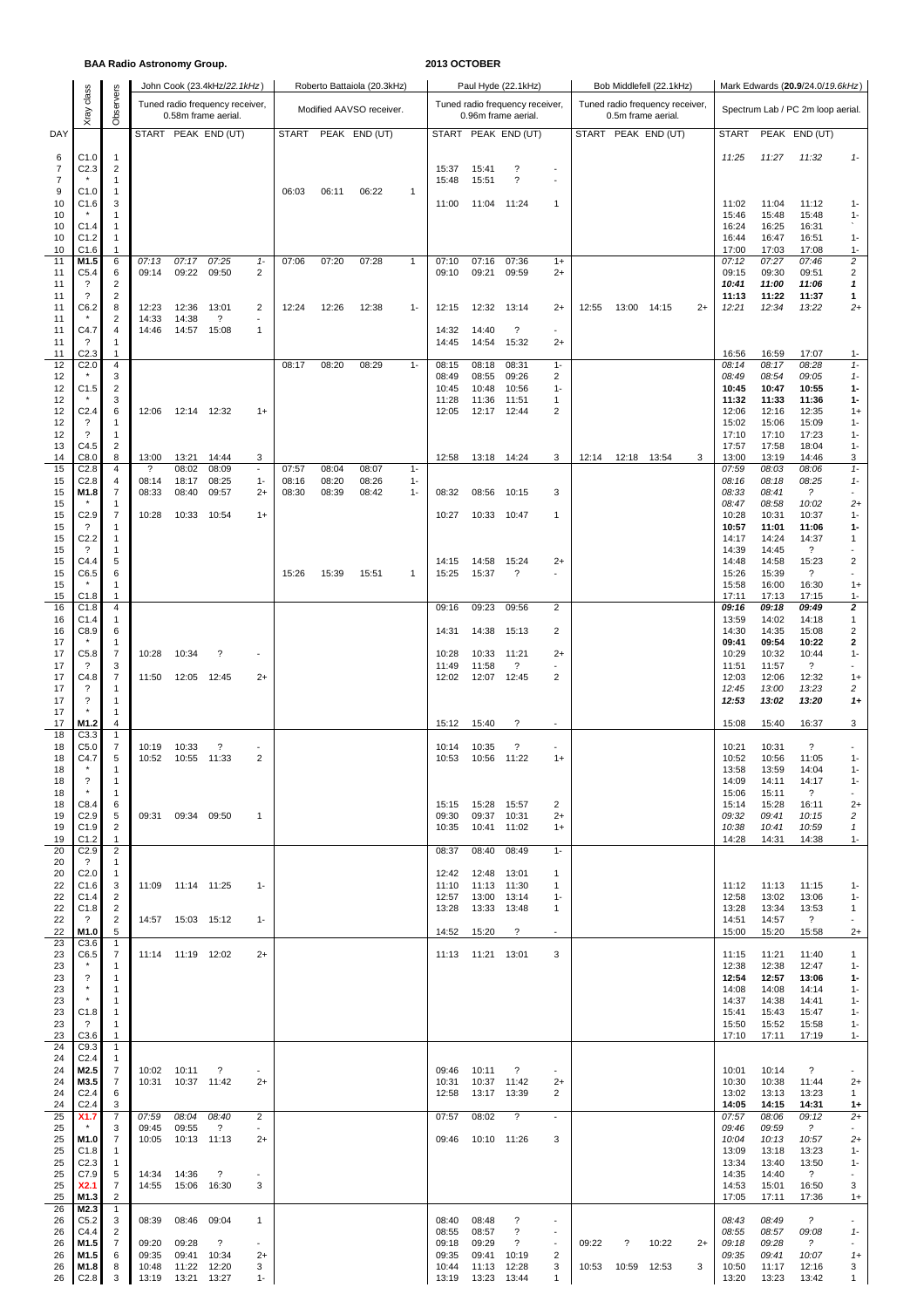### **BAA Radio Astronomy Group. 2013 OCTOBER**

|                |                                      |                         | $2.7711$ and $7.011$ $0.1011$ $0.010$ $0.00$ |                       |                                 |                                   |                |                |                             |                |                     |                      |                                   |                                    |                                                              |       |                                 |      |                |                |                                   |                              |
|----------------|--------------------------------------|-------------------------|----------------------------------------------|-----------------------|---------------------------------|-----------------------------------|----------------|----------------|-----------------------------|----------------|---------------------|----------------------|-----------------------------------|------------------------------------|--------------------------------------------------------------|-------|---------------------------------|------|----------------|----------------|-----------------------------------|------------------------------|
|                | class                                |                         |                                              |                       | John Cook (23.4kHz/22.1kHz)     |                                   |                |                | Roberto Battaiola (20.3kHz) |                |                     |                      | Paul Hyde (22.1kHz)               |                                    | Mark Edwards (20.9/24.0/19.6kHz)<br>Bob Middlefell (22.1kHz) |       |                                 |      |                |                |                                   |                              |
|                |                                      | Observers               |                                              |                       | Tuned radio frequency receiver, |                                   |                |                | Modified AAVSO receiver.    |                |                     |                      | Tuned radio frequency receiver,   |                                    |                                                              |       | Tuned radio frequency receiver, |      |                |                | Spectrum Lab / PC 2m loop aerial. |                              |
|                | Xray                                 |                         |                                              |                       | 0.58m frame aerial.             |                                   |                |                |                             |                |                     |                      | 0.96m frame aerial.               |                                    |                                                              |       | 0.5m frame aerial.              |      |                |                |                                   |                              |
| DAY            |                                      |                         |                                              |                       | START PEAK END (UT)             |                                   | START          |                | PEAK END (UT)               |                |                     |                      | START PEAK END (UT)               |                                    |                                                              |       | START PEAK END (UT)             |      | <b>START</b>   |                | PEAK END (UT)                     |                              |
| 6              | C1.0                                 | $\mathbf{1}$            |                                              |                       |                                 |                                   |                |                |                             |                |                     |                      |                                   |                                    |                                                              |       |                                 |      | 11:25          | 11:27          | 11:32                             | $1 -$                        |
| $\overline{7}$ | C <sub>2.3</sub>                     | 2                       |                                              |                       |                                 |                                   |                |                |                             |                | 15:37               | 15:41                | $\boldsymbol{\mathcal{P}}$        | $\overline{\phantom{a}}$           |                                                              |       |                                 |      |                |                |                                   |                              |
| $\overline{7}$ |                                      | 1                       |                                              |                       |                                 |                                   |                |                |                             |                | 15:48               | 15:51                | $\overline{\phantom{a}}$          |                                    |                                                              |       |                                 |      |                |                |                                   |                              |
| 9<br>10        | C1.0<br>C1.6                         | 1<br>3                  |                                              |                       |                                 |                                   | 06:03          | 06:11          | 06:22                       | $\mathbf{1}$   | 11:00               | 11:04                | 11:24                             | 1                                  |                                                              |       |                                 |      | 11:02          | 11:04          | 11:12                             | $1 -$                        |
| 10             |                                      | 1                       |                                              |                       |                                 |                                   |                |                |                             |                |                     |                      |                                   |                                    |                                                              |       |                                 |      | 15:46          | 15:48          | 15:48                             | $1 -$                        |
| 10             | C1.4                                 | 1                       |                                              |                       |                                 |                                   |                |                |                             |                |                     |                      |                                   |                                    |                                                              |       |                                 |      | 16:24          | 16:25          | 16:31                             |                              |
| 10<br>10       | C1.2<br>C1.6                         | 1<br>1                  |                                              |                       |                                 |                                   |                |                |                             |                |                     |                      |                                   |                                    |                                                              |       |                                 |      | 16:44<br>17:00 | 16:47<br>17:03 | 16:51<br>17:08                    | $1 -$<br>$1 -$               |
| 11             | M1.5                                 | 6                       | 07:13                                        | 07:17                 | 07:25                           | $1 -$                             | 07:06          | 07:20          | 07:28                       | $\mathbf{1}$   | 07:10               | 07:16                | 07:36                             | $1+$                               |                                                              |       |                                 |      | 07:12          | 07:27          | 07:46                             | $\boldsymbol{2}$             |
| 11             | C <sub>5.4</sub>                     | 6                       | 09:14                                        | 09:22                 | 09:50                           | 2                                 |                |                |                             |                | 09:10               | 09:21                | 09:59                             | $2+$                               |                                                              |       |                                 |      | 09:15          | 09:30          | 09:51                             | $\overline{2}$               |
| 11<br>11       | ?<br>?                               | 2<br>$\overline{2}$     |                                              |                       |                                 |                                   |                |                |                             |                |                     |                      |                                   |                                    |                                                              |       |                                 |      | 10:41<br>11:13 | 11:00<br>11:22 | 11:06<br>11:37                    | 1<br>1                       |
| 11             | C6.2                                 | 8                       | 12:23                                        | 12:36                 | 13:01                           | $\overline{2}$                    | 12:24          | 12:26          | 12:38                       | $1 -$          | 12:15               | 12:32                | 13:14                             | $2+$                               | 12:55                                                        | 13:00 | 14:15                           | $2+$ | 12:21          | 12:34          | 13:22                             | $^{2+}$                      |
| 11             |                                      | $\overline{\mathbf{c}}$ | 14:33                                        | 14:38                 | $\overline{\mathcal{E}}$        | $\overline{\phantom{a}}$          |                |                |                             |                |                     |                      |                                   |                                    |                                                              |       |                                 |      |                |                |                                   |                              |
| 11<br>11       | C4.7<br>?                            | 4<br>1                  | 14:46                                        | 14:57                 | 15:08                           | $\mathbf{1}$                      |                |                |                             |                | 14:32<br>14:45      | 14:40<br>14:54       | $\overline{\phantom{a}}$<br>15:32 | $\blacksquare$<br>$2+$             |                                                              |       |                                 |      |                |                |                                   |                              |
| 11             | C2.3                                 | 1                       |                                              |                       |                                 |                                   |                |                |                             |                |                     |                      |                                   |                                    |                                                              |       |                                 |      | 16:56          | 16:59          | 17:07                             | $1 -$                        |
| 12             | C <sub>2.0</sub>                     | 4                       |                                              |                       |                                 |                                   | 08:17          | 08:20          | 08:29                       | $1 -$          | 08:15               | 08:18                | 08:31                             | $1 -$                              |                                                              |       |                                 |      | 08:14          | 08:17          | 08:28                             | $1 -$                        |
| 12<br>12       | C1.5                                 | 3<br>$\overline{2}$     |                                              |                       |                                 |                                   |                |                |                             |                | 08:49<br>10:45      | 08:55<br>10:48       | 09:26<br>10:56                    | $\overline{2}$<br>$1 -$            |                                                              |       |                                 |      | 08:49<br>10:45 | 08:54<br>10:47 | 09:05<br>10:55                    | $1 -$<br>$1 -$               |
| 12             |                                      | 3                       |                                              |                       |                                 |                                   |                |                |                             |                | 11:28               | 11:36                | 11:51                             | 1                                  |                                                              |       |                                 |      | 11:32          | 11:33          | 11:36                             | 1-                           |
| 12             | C <sub>2.4</sub>                     | 6                       | 12:06                                        |                       | 12:14 12:32                     | $1+$                              |                |                |                             |                | 12:05               | 12:17                | 12:44                             | 2                                  |                                                              |       |                                 |      | 12:06          | 12:16          | 12:35                             | $1+$                         |
| 12<br>12       | ?<br>?                               | 1<br>$\mathbf{1}$       |                                              |                       |                                 |                                   |                |                |                             |                |                     |                      |                                   |                                    |                                                              |       |                                 |      | 15:02<br>17:10 | 15:06<br>17:10 | 15:09<br>17:23                    | $1 -$<br>$1 -$               |
| 13             | C4.5                                 | 2                       |                                              |                       |                                 |                                   |                |                |                             |                |                     |                      |                                   |                                    |                                                              |       |                                 |      | 17:57          | 17:58          | 18:04                             | $1 -$                        |
| 14             | C8.0                                 | 8                       | 13:00                                        | 13:21                 | 14:44                           | 3                                 |                |                |                             |                | 12:58               | 13:18 14:24          |                                   | 3                                  | 12:14                                                        | 12:18 | 13:54                           | 3    | 13:00          | 13:19          | 14:46                             | 3                            |
| 15<br>15       | C <sub>2.8</sub><br>C <sub>2.8</sub> | 4<br>4                  | $\overline{\cdot}$<br>08:14                  | 08:02<br>18:17        | 08:09<br>08:25                  | $\overline{\phantom{a}}$<br>$1 -$ | 07:57<br>08:16 | 08:04<br>08:20 | 08:07<br>08:26              | $1 -$<br>$1 -$ |                     |                      |                                   |                                    |                                                              |       |                                 |      | 07:59<br>08:16 | 08:03<br>08:18 | 08:06<br>08:25                    | $1 -$<br>$1 -$               |
| 15             | M1.8                                 | 7                       | 08:33                                        | 08:40                 | 09:57                           | $2+$                              | 08:30          | 08:39          | 08:42                       | $1 -$          | 08:32               | 08:56                | 10:15                             | 3                                  |                                                              |       |                                 |      | 08:33          | 08:41          | ?                                 |                              |
| 15             |                                      | 1                       |                                              |                       |                                 |                                   |                |                |                             |                |                     |                      |                                   |                                    |                                                              |       |                                 |      | 08:47          | 08:58          | 10:02                             | $^{2+}$                      |
| 15<br>15       | C <sub>2.9</sub><br>?                | 7<br>1                  | 10:28                                        | 10:33                 | 10:54                           | $1+$                              |                |                |                             |                | 10:27               | 10:33 10:47          |                                   | 1                                  |                                                              |       |                                 |      | 10:28<br>10:57 | 10:31<br>11:01 | 10:37<br>11:06                    | $1 -$<br>$1-$                |
| 15             | C <sub>2.2</sub>                     | 1                       |                                              |                       |                                 |                                   |                |                |                             |                |                     |                      |                                   |                                    |                                                              |       |                                 |      | 14:17          | 14:24          | 14:37                             | 1                            |
| 15<br>15       | ?<br>C4.4                            | 1                       |                                              |                       |                                 |                                   |                |                |                             |                |                     |                      |                                   |                                    |                                                              |       |                                 |      | 14:39          | 14:45          | $\overline{\mathcal{E}}$          | $\overline{2}$               |
| 15             | C6.5                                 | 5<br>6                  |                                              |                       |                                 |                                   | 15:26          | 15:39          | 15:51                       | $\mathbf{1}$   | 14:15<br>15:25      | 14:58<br>15:37       | 15:24<br>?                        | $2+$<br>$\overline{\phantom{a}}$   |                                                              |       |                                 |      | 14:48<br>15:26 | 14:58<br>15:39 | 15:23<br>$\overline{\cdot}$       | $\blacksquare$               |
| 15             |                                      | 1                       |                                              |                       |                                 |                                   |                |                |                             |                |                     |                      |                                   |                                    |                                                              |       |                                 |      | 15:58          | 16:00          | 16:30                             | $1+$                         |
| 15             | C1.8                                 | 1                       |                                              |                       |                                 |                                   |                |                |                             |                |                     |                      |                                   |                                    |                                                              |       |                                 |      | 17:11          | 17:13          | 17:15                             | $1 -$                        |
| 16<br>16       | C1.8<br>C1.4                         | 4<br>1                  |                                              |                       |                                 |                                   |                |                |                             |                | 09:16               | 09:23                | 09:56                             | $\overline{2}$                     |                                                              |       |                                 |      | 09:16<br>13:59 | 09:18<br>14:02 | 09:49<br>14:18                    | $\mathbf{2}$<br>$\mathbf{1}$ |
| 16             | C8.9                                 | 6                       |                                              |                       |                                 |                                   |                |                |                             |                | 14:31               | 14:38                | 15:13                             | $\overline{2}$                     |                                                              |       |                                 |      | 14:30          | 14:35          | 15:08                             | $\overline{\mathbf{c}}$      |
| 17<br>17       | C5.8                                 | 1<br>7                  | 10:28                                        | 10:34                 | $\overline{\cdot}$              | $\overline{\phantom{a}}$          |                |                |                             |                | 10:28               | 10:33                |                                   | $2+$                               |                                                              |       |                                 |      | 09:41<br>10:29 | 09:54<br>10:32 | 10:22<br>10:44                    | $\mathbf 2$<br>$1 -$         |
| 17             | ?                                    | 3                       |                                              |                       |                                 |                                   |                |                |                             |                | 11:49               | 11:58                | 11:21<br>?                        | $\overline{\phantom{a}}$           |                                                              |       |                                 |      | 11:51          | 11:57          | $\overline{\cdot}$                | $\sim$                       |
| 17             | C4.8                                 | $\overline{7}$          | 11:50                                        | 12:05                 | 12:45                           | $2+$                              |                |                |                             |                | 12:02               | 12:07                | 12:45                             | $\overline{2}$                     |                                                              |       |                                 |      | 12:03          | 12:06          | 12:32                             | $1+$                         |
| 17<br>17       | ?<br>?                               | 1<br>1                  |                                              |                       |                                 |                                   |                |                |                             |                |                     |                      |                                   |                                    |                                                              |       |                                 |      | 12:45<br>12:53 | 13:00<br>13:02 | 13:23<br>13:20                    | 2<br>$1+$                    |
| 17             |                                      | 1                       |                                              |                       |                                 |                                   |                |                |                             |                |                     |                      |                                   |                                    |                                                              |       |                                 |      |                |                |                                   |                              |
| 17             | M1.2                                 | 4                       |                                              |                       |                                 |                                   |                |                |                             |                | 15:12               | 15:40                | $\overline{\phantom{a}}$          | $\sim$                             |                                                              |       |                                 |      | 15:08          | 15:40          | 16:37                             | 3                            |
| 18<br>18       | C3.3<br>C5.0                         | $\mathbf{1}$<br>7       | 10:19                                        | 10:33                 | $\overline{\mathcal{E}}$        | $\overline{\phantom{a}}$          |                |                |                             |                | 10:14               | 10:35                | $\overline{\phantom{a}}$          | $\overline{\phantom{a}}$           |                                                              |       |                                 |      | 10:21          | 10:31          | $\overline{\cdot}$                | $\overline{\phantom{a}}$     |
| 18             | C4.7                                 | 5                       | 10:52                                        |                       | 10:55 11:33                     | 2                                 |                |                |                             |                | 10:53               | 10:56 11:22          |                                   | $1+$                               |                                                              |       |                                 |      | 10:52          | 10:56          | 11:05                             | $1 -$                        |
| 18             |                                      | -1                      |                                              |                       |                                 |                                   |                |                |                             |                |                     |                      |                                   |                                    |                                                              |       |                                 |      | 13:58          | 13:59          | 14:04                             | $1 -$                        |
| 18<br>18       | ?                                    | -1<br>1                 |                                              |                       |                                 |                                   |                |                |                             |                |                     |                      |                                   |                                    |                                                              |       |                                 |      | 14:09<br>15:06 | 14:11<br>15:11 | 14:17<br>$\ddot{?}$               | $1 -$                        |
| 18             | C8.4                                 | 6                       |                                              |                       |                                 |                                   |                |                |                             |                | 15:15               | 15:28  15:57         |                                   | 2                                  |                                                              |       |                                 |      | 15:14          | 15:28          | 16:11                             | $^{2+}$                      |
| 19             | C <sub>2.9</sub>                     | 5                       |                                              | 09:31 09:34 09:50     |                                 | $\mathbf{1}$                      |                |                |                             |                | 09:30               | 09:37 10:31          |                                   | $2+$                               |                                                              |       |                                 |      | 09:32          | 09:41          | 10:15                             | 2                            |
| 19<br>19       | C1.9<br>C1.2                         | 2<br>1                  |                                              |                       |                                 |                                   |                |                |                             |                | 10:35               | 10:41 11:02          |                                   | $1+$                               |                                                              |       |                                 |      | 10:38<br>14:28 | 10:41<br>14:31 | 10:59<br>14:38                    | 1<br>$1 -$                   |
| 20             | C <sub>2.9</sub>                     | 2                       |                                              |                       |                                 |                                   |                |                |                             |                | 08:37               | 08:40                | 08:49                             | $1 -$                              |                                                              |       |                                 |      |                |                |                                   |                              |
| 20             | $\gamma$                             | 1                       |                                              |                       |                                 |                                   |                |                |                             |                |                     |                      |                                   |                                    |                                                              |       |                                 |      |                |                |                                   |                              |
| 20<br>22       | C <sub>2.0</sub><br>C1.6             | $\mathbf{1}$<br>3       |                                              | 11:09  11:14  11:25   |                                 | $1 -$                             |                |                |                             |                | 12:42<br>11:10      | 12:48 13:01<br>11:13 | 11:30                             | 1<br>1                             |                                                              |       |                                 |      | 11:12          | 11:13          | 11:15                             | $1 -$                        |
| 22             | C1.4                                 | 2                       |                                              |                       |                                 |                                   |                |                |                             |                | 12:57               | 13:00                | 13:14                             | $1 -$                              |                                                              |       |                                 |      | 12:58          | 13:02          | 13:06                             | $1 -$                        |
| 22<br>22       | C1.8<br>$\gamma$                     | 2<br>2                  |                                              | 14:57  15:03  15:12   |                                 | $1 -$                             |                |                |                             |                | 13:28               | 13:33 13:48          |                                   | 1                                  |                                                              |       |                                 |      | 13:28<br>14:51 | 13:34<br>14:57 | 13:53<br>$\overline{?}$           | 1<br>$\blacksquare$          |
| 22             | M1.0                                 | 5                       |                                              |                       |                                 |                                   |                |                |                             |                | 14:52               | 15:20                | $\overline{\cdot}$                | $\blacksquare$                     |                                                              |       |                                 |      | 15:00          | 15:20          | 15:58                             | $2+$                         |
| 23             | C <sub>3.6</sub>                     | 1                       |                                              |                       |                                 |                                   |                |                |                             |                |                     |                      |                                   |                                    |                                                              |       |                                 |      |                |                |                                   |                              |
| 23<br>23       | C6.5                                 | $\overline{7}$<br>1     |                                              | 11:14 11:19 12:02     |                                 | $2+$                              |                |                |                             |                | 11:13  11:21  13:01 |                      |                                   | 3                                  |                                                              |       |                                 |      | 11:15<br>12:38 | 11:21<br>12:38 | 11:40<br>12:47                    | 1<br>$1 -$                   |
| 23             | $\overline{\mathcal{E}}$             | 1                       |                                              |                       |                                 |                                   |                |                |                             |                |                     |                      |                                   |                                    |                                                              |       |                                 |      | 12:54          | 12.57          | 13:06                             | $1-$                         |
| 23             |                                      | 1                       |                                              |                       |                                 |                                   |                |                |                             |                |                     |                      |                                   |                                    |                                                              |       |                                 |      | 14:08          | 14:08          | 14:14                             | $1 -$                        |
| 23<br>23       | C1.8                                 | 1<br>1                  |                                              |                       |                                 |                                   |                |                |                             |                |                     |                      |                                   |                                    |                                                              |       |                                 |      | 14:37<br>15:41 | 14:38<br>15:43 | 14:41<br>15:47                    | $1 -$<br>$1 -$               |
| 23             | $\overline{\cdot}$                   | 1                       |                                              |                       |                                 |                                   |                |                |                             |                |                     |                      |                                   |                                    |                                                              |       |                                 |      | 15:50          | 15:52          | 15:58                             | $1 -$                        |
| 23             | C3.6                                 | 1                       |                                              |                       |                                 |                                   |                |                |                             |                |                     |                      |                                   |                                    |                                                              |       |                                 |      | 17:10          | 17:11          | 17:19                             | $1 -$                        |
| 24<br>24       | C9.3<br>C <sub>2.4</sub>             | 1<br>1                  |                                              |                       |                                 |                                   |                |                |                             |                |                     |                      |                                   |                                    |                                                              |       |                                 |      |                |                |                                   |                              |
| 24             | M2.5                                 | 7                       | 10:02                                        | 10:11                 | $\overline{\mathcal{E}}$        | $\sim$                            |                |                |                             |                | 09:46               | 10:11                | $\overline{\cdot}$                | $\blacksquare$                     |                                                              |       |                                 |      | 10:01          | 10:14          | $\ddot{?}$                        |                              |
| 24             | M3.5                                 | 7                       | 10:31                                        | 10:37 11:42           |                                 | $^{2+}$                           |                |                |                             |                | 10:31               | 10:37 11:42          |                                   | $2+$                               |                                                              |       |                                 |      | 10:30          | 10:38          | 11:44                             | $2+$                         |
| 24<br>24       | C <sub>2.4</sub><br>C <sub>2.4</sub> | 6<br>3                  |                                              |                       |                                 |                                   |                |                |                             |                | 12:58               | 13:17 13:39          |                                   | 2                                  |                                                              |       |                                 |      | 13:02<br>14:05 | 13:13<br>14:15 | 13:23<br>14:31                    | 1<br>$1+$                    |
| 25             | X <sub>1.7</sub>                     | 7                       | 07:59                                        | 08:04                 | 08:40                           | 2                                 |                |                |                             |                | 07:57               | 08:02                | ?                                 | $\blacksquare$                     |                                                              |       |                                 |      | 07:57          | 08:06          | 09:12                             | $2+$                         |
| 25             | $\star$<br>M1.0                      | 3                       | 09:45                                        | 09:55                 | $\gamma$                        | $\sim$                            |                |                |                             |                | 09:46 10:10 11:26   |                      |                                   | 3                                  |                                                              |       |                                 |      | 09:46          | 09:59<br>10:13 | $\overline{z}$                    | $\blacksquare$               |
| 25<br>25       | C <sub>1.8</sub>                     | 7<br>1                  | 10:05                                        | 10:13 11:13           |                                 | $2+$                              |                |                |                             |                |                     |                      |                                   |                                    |                                                              |       |                                 |      | 10:04<br>13:09 | 13:18          | 10:57<br>13:23                    | $^{2+}$<br>$1 -$             |
| 25             | C <sub>2.3</sub>                     | 1                       |                                              |                       |                                 |                                   |                |                |                             |                |                     |                      |                                   |                                    |                                                              |       |                                 |      | 13:34          | 13:40          | 13:50                             | $1 -$                        |
| 25<br>25       | C7.9<br>X <sub>2.1</sub>             | 5<br>7                  | 14:34 14:36<br>14:55                         | 15:06 16:30           | $\gamma$                        | 3                                 |                |                |                             |                |                     |                      |                                   |                                    |                                                              |       |                                 |      | 14:35<br>14:53 | 14:40<br>15:01 | $\overline{?}$<br>16:50           | 3                            |
| 25             | M1.3                                 | 2                       |                                              |                       |                                 |                                   |                |                |                             |                |                     |                      |                                   |                                    |                                                              |       |                                 |      | 17:05          | 17:11          | 17:36                             | $1+$                         |
| 26             | M2.3                                 | $\mathbf{1}$            |                                              |                       |                                 |                                   |                |                |                             |                |                     |                      |                                   |                                    |                                                              |       |                                 |      |                |                |                                   |                              |
| 26<br>26       | C5.2<br>C4.4                         | 3<br>2                  | 08:39                                        | 08:46                 | 09:04                           | 1                                 |                |                |                             |                | 08:40<br>08:55      | 08:48<br>08:57       | ?<br>?                            | $\overline{\phantom{a}}$<br>$\sim$ |                                                              |       |                                 |      | 08:43<br>08:55 | 08:49<br>08:57 | $\overline{\phantom{a}}$<br>09:08 | $\blacksquare$<br>$1 -$      |
| 26             | M1.5                                 | 7                       | 09:20                                        | 09:28                 | ?                               |                                   |                |                |                             |                | 09:18               | 09:29                | $\overline{\cdot}$                | $\overline{\phantom{a}}$           | 09:22                                                        | ?     | 10:22                           | $2+$ | 09:18          | 09:28          | $\overline{\phantom{a}}$          | $\blacksquare$               |
| 26             | M1.5                                 | 6                       | 09:35                                        | 09:41                 | 10:34                           | $2+$                              |                |                |                             |                | 09:35               | 09:41                | 10:19                             | 2                                  |                                                              |       |                                 |      | 09:35          | 09:41          | 10:07                             | $1+$                         |
| 26             | M1.8<br>26   C <sub>2.8</sub>        | 8<br>3                  | 10:48<br>13:19                               | 11:22<br>13:21  13:27 | 12:20                           | 3<br>$1 -$                        |                |                |                             |                | 10:44<br>13:19      | 11:13<br>13:23 13:44 | 12:28                             | 3<br>$\mathbf{1}$                  | 10:53                                                        | 10:59 | 12:53                           | 3    | 10:50<br>13:20 | 11:17<br>13:23 | 12:16<br>13:42                    | 3<br>1                       |
|                |                                      |                         |                                              |                       |                                 |                                   |                |                |                             |                |                     |                      |                                   |                                    |                                                              |       |                                 |      |                |                |                                   |                              |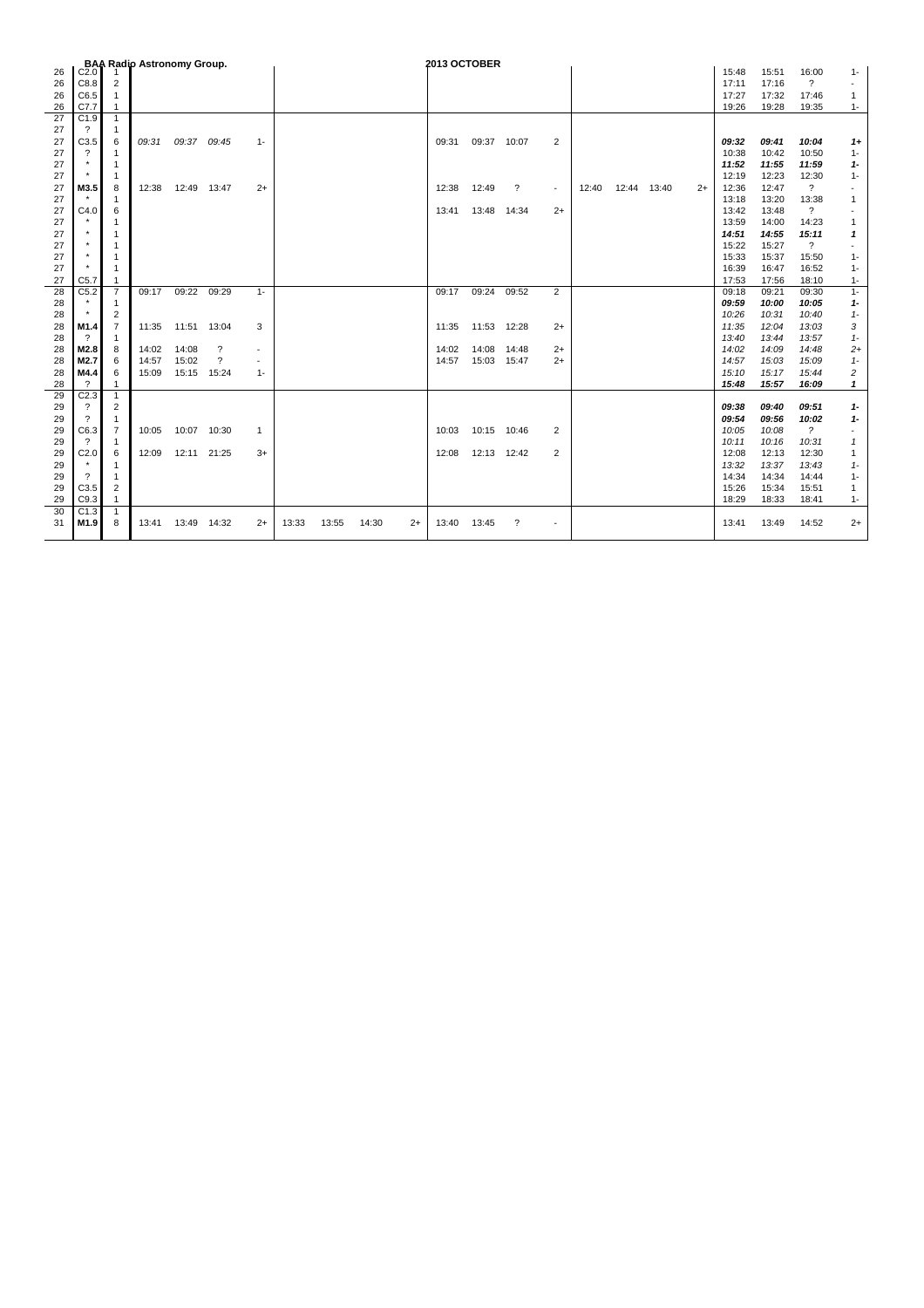|    |                          |                | <b>BAA Radio Astronomy Group.</b> |             |                          |                |       |       |       |      | 2013 OCTOBER |             |                          |                          |       |       |       |      |       |       |                          |                |
|----|--------------------------|----------------|-----------------------------------|-------------|--------------------------|----------------|-------|-------|-------|------|--------------|-------------|--------------------------|--------------------------|-------|-------|-------|------|-------|-------|--------------------------|----------------|
| 26 | C2.0                     |                |                                   |             |                          |                |       |       |       |      |              |             |                          |                          |       |       |       |      | 15:48 | 15:51 | 16:00                    | $1 -$          |
| 26 | C8.8                     | $\overline{2}$ |                                   |             |                          |                |       |       |       |      |              |             |                          |                          |       |       |       |      | 17:11 | 17:16 | $\overline{\mathcal{E}}$ | $\blacksquare$ |
| 26 | C6.5                     | $\mathbf{1}$   |                                   |             |                          |                |       |       |       |      |              |             |                          |                          |       |       |       |      | 17:27 | 17:32 | 17:46                    | 1              |
| 26 | C7.7                     | $\mathbf{1}$   |                                   |             |                          |                |       |       |       |      |              |             |                          |                          |       |       |       |      | 19:26 | 19:28 | 19:35                    | $1 -$          |
| 27 | C1.9                     | $\mathbf{1}$   |                                   |             |                          |                |       |       |       |      |              |             |                          |                          |       |       |       |      |       |       |                          |                |
| 27 | ?                        | 1              |                                   |             |                          |                |       |       |       |      |              |             |                          |                          |       |       |       |      |       |       |                          |                |
| 27 | C3.5                     | 6              | 09:31                             |             | 09:37 09:45              | $1 -$          |       |       |       |      | 09:31        | 09:37 10:07 |                          | $\overline{2}$           |       |       |       |      | 09:32 | 09:41 | 10:04                    | $1+$           |
| 27 | $\boldsymbol{\gamma}$    | $\mathbf{1}$   |                                   |             |                          |                |       |       |       |      |              |             |                          |                          |       |       |       |      | 10:38 | 10:42 | 10:50                    | $1 -$          |
| 27 |                          | $\mathbf{1}$   |                                   |             |                          |                |       |       |       |      |              |             |                          |                          |       |       |       |      | 11:52 | 11:55 | 11:59                    | $1 -$          |
| 27 |                          | $\mathbf{1}$   |                                   |             |                          |                |       |       |       |      |              |             |                          |                          |       |       |       |      | 12:19 | 12:23 | 12:30                    | $1 -$          |
| 27 | M3.5                     | 8              | 12:38                             | 12:49       | 13:47                    | $2+$           |       |       |       |      | 12:38        | 12:49       | $\overline{\mathcal{E}}$ | $\sim$                   | 12:40 | 12:44 | 13:40 | $2+$ | 12:36 | 12:47 | $\overline{\mathcal{E}}$ |                |
| 27 |                          | $\mathbf{1}$   |                                   |             |                          |                |       |       |       |      |              |             |                          |                          |       |       |       |      | 13:18 | 13:20 | 13:38                    |                |
| 27 | C4.0                     | 6              |                                   |             |                          |                |       |       |       |      | 13:41        | 13:48       | 14:34                    | $2+$                     |       |       |       |      | 13:42 | 13:48 | $\overline{\mathbf{?}}$  |                |
| 27 |                          | 1              |                                   |             |                          |                |       |       |       |      |              |             |                          |                          |       |       |       |      | 13:59 | 14:00 | 14:23                    | 1              |
| 27 |                          | $\mathbf{1}$   |                                   |             |                          |                |       |       |       |      |              |             |                          |                          |       |       |       |      | 14:51 | 14:55 | 15:11                    | 1              |
| 27 |                          | 1              |                                   |             |                          |                |       |       |       |      |              |             |                          |                          |       |       |       |      | 15:22 | 15:27 | $\overline{\mathcal{E}}$ |                |
| 27 |                          | 1              |                                   |             |                          |                |       |       |       |      |              |             |                          |                          |       |       |       |      | 15:33 | 15:37 | 15:50                    | $1 -$          |
| 27 |                          | $\mathbf{1}$   |                                   |             |                          |                |       |       |       |      |              |             |                          |                          |       |       |       |      | 16:39 | 16:47 | 16:52                    | $1 -$          |
| 27 | C5.7                     | 1              |                                   |             |                          |                |       |       |       |      |              |             |                          |                          |       |       |       |      | 17:53 | 17:56 | 18:10                    | $1 -$          |
| 28 | C5.2                     | $\overline{7}$ | 09:17                             | 09:22       | 09:29                    | $1 -$          |       |       |       |      | 09:17        | 09:24       | 09:52                    | $\overline{2}$           |       |       |       |      | 09:18 | 09:21 | 09:30                    | $1 -$          |
| 28 |                          | 1              |                                   |             |                          |                |       |       |       |      |              |             |                          |                          |       |       |       |      | 09.59 | 10:00 | 10:05                    | $1 -$          |
| 28 |                          | $\overline{2}$ |                                   |             |                          |                |       |       |       |      |              |             |                          |                          |       |       |       |      | 10:26 | 10:31 | 10:40                    | $1-$           |
| 28 | M1.4                     | $\overline{7}$ | 11:35                             | 11:51 13:04 |                          | 3              |       |       |       |      | 11:35        | 11:53 12:28 |                          | $2+$                     |       |       |       |      | 11:35 | 12:04 | 13:03                    | 3              |
| 28 | $\gamma$                 | 1              |                                   |             |                          |                |       |       |       |      |              |             |                          |                          |       |       |       |      | 13:40 | 13:44 | 13:57                    | $1 -$          |
| 28 | M2.8                     | 8              | 14:02                             | 14:08       | ?                        | $\blacksquare$ |       |       |       |      | 14:02        | 14:08       | 14:48                    | $2+$                     |       |       |       |      | 14:02 | 14:09 | 14:48                    | $2+$           |
| 28 | M2.7                     | 6              | 14:57                             | 15:02       | $\overline{\mathcal{L}}$ |                |       |       |       |      | 14:57        | 15:03 15:47 |                          | $2+$                     |       |       |       |      | 14:57 | 15:03 | 15:09                    | $1 -$          |
| 28 | M4.4                     | 6              | 15:09                             | 15:15       | 15:24                    | $1 -$          |       |       |       |      |              |             |                          |                          |       |       |       |      | 15:10 | 15:17 | 15:44                    | 2              |
| 28 | $\overline{\mathcal{L}}$ | $\mathbf{1}$   |                                   |             |                          |                |       |       |       |      |              |             |                          |                          |       |       |       |      | 15:48 | 15:57 | 16:09                    | 1              |
| 29 | C2.3                     | $\mathbf{1}$   |                                   |             |                          |                |       |       |       |      |              |             |                          |                          |       |       |       |      |       |       |                          |                |
| 29 | $\gamma$                 | 2              |                                   |             |                          |                |       |       |       |      |              |             |                          |                          |       |       |       |      | 09:38 | 09:40 | 09:51                    | $1 -$          |
| 29 | ?                        | $\mathbf{1}$   |                                   |             |                          |                |       |       |       |      |              |             |                          |                          |       |       |       |      | 09:54 | 09.56 | 10:02                    | $1 -$          |
| 29 | C6.3                     | $\overline{7}$ | 10:05                             | 10:07 10:30 |                          | 1              |       |       |       |      | 10:03        | 10:15 10:46 |                          | 2                        |       |       |       |      | 10:05 | 10:08 | $\overline{?}$           |                |
| 29 | ?                        | 1              |                                   |             |                          |                |       |       |       |      |              |             |                          |                          |       |       |       |      | 10:11 | 10:16 | 10:31                    | 1              |
| 29 | C <sub>2.0</sub>         | 6              | 12:09                             | 12:11 21:25 |                          | $3+$           |       |       |       |      | 12:08        | 12:13 12:42 |                          | 2                        |       |       |       |      | 12:08 | 12:13 | 12:30                    | 1              |
| 29 |                          | $\mathbf{1}$   |                                   |             |                          |                |       |       |       |      |              |             |                          |                          |       |       |       |      | 13:32 | 13:37 | 13:43                    | $1 -$          |
| 29 | $\gamma$                 | $\mathbf{1}$   |                                   |             |                          |                |       |       |       |      |              |             |                          |                          |       |       |       |      | 14:34 | 14:34 | 14:44                    | $1 -$          |
| 29 | C3.5                     | 2              |                                   |             |                          |                |       |       |       |      |              |             |                          |                          |       |       |       |      | 15:26 | 15:34 | 15:51                    | 1              |
| 29 | C9.3                     | 1              |                                   |             |                          |                |       |       |       |      |              |             |                          |                          |       |       |       |      | 18:29 | 18:33 | 18:41                    | $1 -$          |
| 30 | C <sub>1.3</sub>         | $\mathbf{1}$   |                                   |             |                          |                |       |       |       |      |              |             |                          |                          |       |       |       |      |       |       |                          |                |
| 31 | M1.9                     | 8              | 13:41                             | 13:49       | 14:32                    | $2+$           | 13:33 | 13:55 | 14:30 | $2+$ | 13:40        | 13:45       | $\overline{\mathcal{L}}$ | $\overline{\phantom{a}}$ |       |       |       |      | 13:41 | 13:49 | 14:52                    | $2+$           |
|    |                          |                |                                   |             |                          |                |       |       |       |      |              |             |                          |                          |       |       |       |      |       |       |                          |                |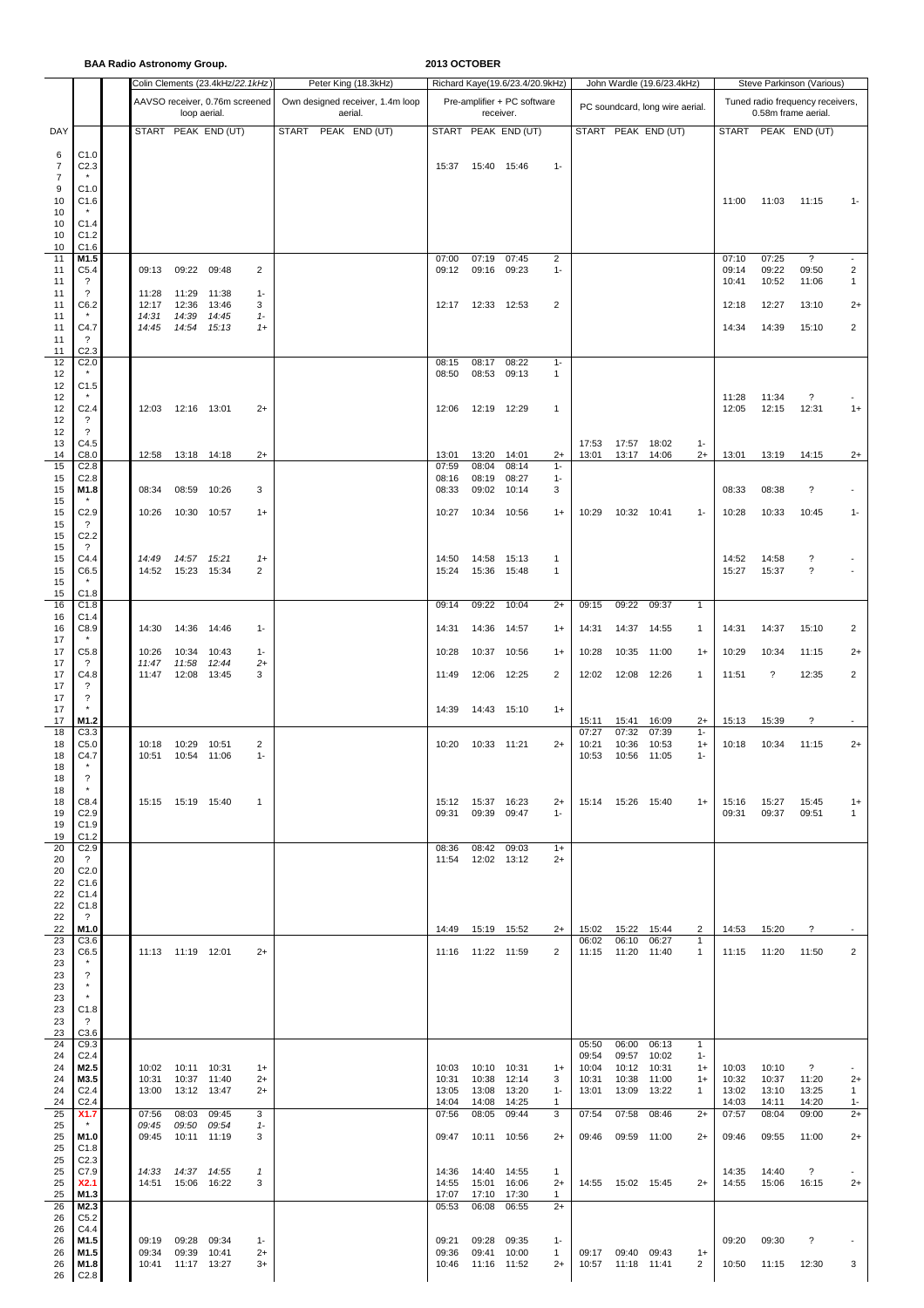**BAA Radio Astronomy Group. 2013 OCTOBER**

|                     |                                              |                |                             | Colin Clements (23.4kHz/22.1kHz) |               | Peter King (18.3kHz)             | Richard Kaye(19.6/23.4/20.9kHz) |                     |                             |                      |                | John Wardle (19.6/23.4kHz)<br>Steve Parkinson (Various) |                                 |               |                                  |                          |                                   |            |  |  |
|---------------------|----------------------------------------------|----------------|-----------------------------|----------------------------------|---------------|----------------------------------|---------------------------------|---------------------|-----------------------------|----------------------|----------------|---------------------------------------------------------|---------------------------------|---------------|----------------------------------|--------------------------|-----------------------------------|------------|--|--|
|                     |                                              |                |                             | AAVSO receiver, 0.76m screened   |               | Own designed receiver, 1.4m loop |                                 |                     | Pre-amplifier + PC software |                      |                |                                                         | PC soundcard, long wire aerial. |               | Tuned radio frequency receivers, |                          |                                   |            |  |  |
|                     |                                              |                | loop aerial.                |                                  |               | aerial.                          |                                 |                     | receiver.                   |                      |                |                                                         |                                 |               |                                  |                          | 0.58m frame aerial.               |            |  |  |
| DAY                 |                                              |                |                             | START PEAK END (UT)              |               | <b>START</b><br>PEAK END (UT)    |                                 |                     | START PEAK END (UT)         |                      |                |                                                         | START PEAK END (UT)             |               |                                  |                          | START PEAK END (UT)               |            |  |  |
| 6<br>7              | C1.0<br>C <sub>2.3</sub>                     |                |                             |                                  |               |                                  | 15:37                           |                     | 15:40 15:46                 | $1 -$                |                |                                                         |                                 |               |                                  |                          |                                   |            |  |  |
| $\overline{7}$<br>9 | C1.0                                         |                |                             |                                  |               |                                  |                                 |                     |                             |                      |                |                                                         |                                 |               |                                  |                          |                                   |            |  |  |
| 10                  | C1.6                                         |                |                             |                                  |               |                                  |                                 |                     |                             |                      |                |                                                         |                                 |               | 11:00                            | 11:03                    | 11:15                             | $1 -$      |  |  |
| 10<br>10            | C1.4                                         |                |                             |                                  |               |                                  |                                 |                     |                             |                      |                |                                                         |                                 |               |                                  |                          |                                   |            |  |  |
| 10<br>10            | C1.2<br>C1.6                                 |                |                             |                                  |               |                                  |                                 |                     |                             |                      |                |                                                         |                                 |               |                                  |                          |                                   |            |  |  |
| 11                  | M1.5                                         |                |                             |                                  |               |                                  | 07:00                           | 07:19               | 07:45                       | $\overline{2}$       |                |                                                         |                                 |               | 07:10                            | 07:25                    | ?                                 |            |  |  |
| 11<br>11            | C <sub>5.4</sub><br>$\overline{\mathcal{L}}$ | 09:13          | 09:22 09:48                 |                                  | 2             |                                  | 09:12                           | 09:16               | 09:23                       | $1 -$                |                |                                                         |                                 |               | 09:14<br>10:41                   | 09:22<br>10:52           | 09:50<br>11:06                    | 2<br>1     |  |  |
| 11<br>11            | $\overline{\mathcal{L}}$<br>C6.2             | 11:28<br>12:17 | 11:29<br>12:36              | 11:38<br>13:46                   | $1 -$<br>3    |                                  | 12:17                           | 12:33 12:53         |                             | 2                    |                |                                                         |                                 |               | 12:18                            | 12:27                    | 13:10                             | $^{2+}$    |  |  |
| 11<br>11            | $\star$<br>C4.7                              | 14:31<br>14:45 | 14:39<br>14:54              | 14:45<br>15:13                   | $1-$<br>$1+$  |                                  |                                 |                     |                             |                      |                |                                                         |                                 |               | 14:34                            | 14:39                    | 15:10                             | 2          |  |  |
| 11                  | $\cdot$                                      |                |                             |                                  |               |                                  |                                 |                     |                             |                      |                |                                                         |                                 |               |                                  |                          |                                   |            |  |  |
| 11<br>12            | C <sub>2.3</sub><br>C <sub>2.0</sub>         |                |                             |                                  |               |                                  | 08:15                           | 08:17               | 08:22                       | $1 -$                |                |                                                         |                                 |               |                                  |                          |                                   |            |  |  |
| 12<br>12            | C1.5                                         |                |                             |                                  |               |                                  | 08:50                           | 08:53               | 09:13                       | 1                    |                |                                                         |                                 |               |                                  |                          |                                   |            |  |  |
| 12<br>12            | C <sub>2.4</sub>                             | 12:03          | 12:16                       | 13:01                            | $2+$          |                                  | 12:06                           | 12:19               | 12:29                       | 1                    |                |                                                         |                                 |               | 11:28<br>12:05                   | 11:34<br>12:15           | $\overline{\phantom{a}}$<br>12:31 | $1+$       |  |  |
| 12                  | $\overline{\cdot}$                           |                |                             |                                  |               |                                  |                                 |                     |                             |                      |                |                                                         |                                 |               |                                  |                          |                                   |            |  |  |
| 12<br>13            | $\overline{\mathcal{E}}$<br>C4.5             |                |                             |                                  |               |                                  |                                 |                     |                             |                      | 17:53          | 17:57 18:02                                             |                                 | $1 -$         |                                  |                          |                                   |            |  |  |
| 14<br>15            | C8.0<br>C <sub>2.8</sub>                     | 12:58          | 13:18 14:18                 |                                  | $2+$          |                                  | 13:01<br>07:59                  | 13:20<br>08:04      | 14:01<br>08:14              | $2+$<br>$1 -$        | 13:01          | 13:17 14:06                                             |                                 | $2+$          | 13:01                            | 13:19                    | 14:15                             | $2+$       |  |  |
| 15                  | C <sub>2.8</sub>                             |                |                             |                                  |               |                                  | 08:16                           | 08:19               | 08:27                       | $1 -$                |                |                                                         |                                 |               |                                  |                          |                                   |            |  |  |
| 15<br>15            | M1.8                                         | 08:34          | 08:59                       | 10:26                            | 3             |                                  | 08:33                           | 09:02               | 10:14                       | 3                    |                |                                                         |                                 |               | 08:33                            | 08:38                    | $\boldsymbol{\mathcal{P}}$        |            |  |  |
| 15<br>15            | C <sub>2.9</sub><br>$\overline{\mathcal{E}}$ | 10:26          | 10:30                       | 10:57                            | $1+$          |                                  | 10:27                           | 10:34               | 10:56                       | $1+$                 | 10:29          | 10:32 10:41                                             |                                 | $1 -$         | 10:28                            | 10:33                    | 10:45                             | $1 -$      |  |  |
| 15<br>15            | C <sub>2.2</sub><br>$\overline{\cdot}$       |                |                             |                                  |               |                                  |                                 |                     |                             |                      |                |                                                         |                                 |               |                                  |                          |                                   |            |  |  |
| 15                  | C4.4                                         | 14:49          | 14:57                       | 15:21                            | $1+$          |                                  | 14:50                           | 14:58               | 15:13                       | 1                    |                |                                                         |                                 |               | 14:52                            | 14:58                    | ?                                 |            |  |  |
| 15<br>15            | C6.5                                         | 14:52          | 15:23 15:34                 |                                  | 2             |                                  | 15:24                           |                     | 15:36 15:48                 | $\mathbf{1}$         |                |                                                         |                                 |               | 15:27                            | 15:37                    | $\overline{\cdot}$                |            |  |  |
| 15<br>16            | C1.8<br>C1.8                                 |                |                             |                                  |               |                                  | 09:14                           | 09:22               | 10:04                       | $2+$                 | 09:15          | 09:22                                                   | 09:37                           | $\mathbf{1}$  |                                  |                          |                                   |            |  |  |
| 16<br>16            | C <sub>1.4</sub><br>C8.9                     | 14:30          | 14:36                       | 14:46                            | $1 -$         |                                  | 14:31                           |                     | 14:36 14:57                 | $1+$                 | 14:31          | 14:37                                                   | 14:55                           | $\mathbf{1}$  | 14:31                            | 14:37                    | 15:10                             | 2          |  |  |
| 17                  |                                              |                |                             |                                  |               |                                  |                                 |                     |                             |                      |                |                                                         |                                 |               |                                  |                          |                                   |            |  |  |
| 17<br>17            | C5.8<br>?                                    | 10:26<br>11:47 | 10:34<br>11:58              | 10:43<br>12:44                   | $1 -$<br>$2+$ |                                  | 10:28                           | 10:37               | 10:56                       | $1+$                 | 10:28          | 10:35                                                   | 11:00                           | $1+$          | 10:29                            | 10:34                    | 11:15                             | $2+$       |  |  |
| 17<br>17            | C4.8<br>?                                    | 11:47          | 12:08                       | 13:45                            | 3             |                                  | 11:49                           |                     | 12:06 12:25                 | $\overline{2}$       | 12:02          | 12:08                                                   | 12:26                           | $\mathbf{1}$  | 11:51                            | $\overline{\mathcal{E}}$ | 12:35                             | 2          |  |  |
| 17<br>17            | $\overline{\mathcal{E}}$                     |                |                             |                                  |               |                                  | 14:39                           |                     |                             | $1+$                 |                |                                                         |                                 |               |                                  |                          |                                   |            |  |  |
| 17                  | M1.2                                         |                |                             |                                  |               |                                  |                                 |                     | 14:43 15:10                 |                      | 15:11          | 15:41                                                   | 16:09                           | $2+$          | 15:13                            | 15:39                    | ?                                 |            |  |  |
| 18<br>18            | C3.3<br>C <sub>5.0</sub>                     | 10:18          | 10:29                       | 10:51                            | 2             |                                  | 10:20                           |                     | 10:33 11:21                 | $2+$                 | 07:27<br>10:21 | 07:32<br>10:36                                          | 07:39<br>10:53                  | $1 -$<br>$1+$ | 10:18                            | 10:34                    | 11:15                             | $2+$       |  |  |
| 18<br>18            | C4.7                                         | 10:51          | 10:54                       | 11:06                            | $1 -$         |                                  |                                 |                     |                             |                      | 10:53          | 10:56                                                   | 11:05                           | $1 -$         |                                  |                          |                                   |            |  |  |
| 18                  | $\overline{\phantom{a}}$                     |                |                             |                                  |               |                                  |                                 |                     |                             |                      |                |                                                         |                                 |               |                                  |                          |                                   |            |  |  |
| 18<br>18            | C8.4                                         |                | 15:15  15:19  15:40         |                                  | $\mathbf{1}$  |                                  |                                 | 15:12  15:37  16:23 |                             | $2+$                 |                | 15:14  15:26  15:40                                     |                                 | $1+$          | 15:16                            | 15:27                    | 15:45                             | $1+$       |  |  |
| 19<br>19            | C <sub>2.9</sub><br>C1.9                     |                |                             |                                  |               |                                  | 09:31                           |                     | 09:39 09:47                 | $1 -$                |                |                                                         |                                 |               | 09:31                            | 09:37                    | 09:51                             | 1          |  |  |
| 19<br>20            | C1.2<br>C <sub>2.9</sub>                     |                |                             |                                  |               |                                  | 08:36                           |                     | 08:42 09:03                 | $1+$                 |                |                                                         |                                 |               |                                  |                          |                                   |            |  |  |
| 20                  | $\cdot$ ?                                    |                |                             |                                  |               |                                  | 11:54                           |                     | 12:02 13:12                 | $2+$                 |                |                                                         |                                 |               |                                  |                          |                                   |            |  |  |
| 20<br>22            | C <sub>2.0</sub><br>C1.6                     |                |                             |                                  |               |                                  |                                 |                     |                             |                      |                |                                                         |                                 |               |                                  |                          |                                   |            |  |  |
| 22<br>22            | C1.4<br>C1.8                                 |                |                             |                                  |               |                                  |                                 |                     |                             |                      |                |                                                         |                                 |               |                                  |                          |                                   |            |  |  |
| 22<br>22            | $\overline{?}$<br>M1.0                       |                |                             |                                  |               |                                  | 14:49  15:19  15:52             |                     |                             | $2+$                 | 15:02          | 15:22                                                   | 15:44                           | 2             | 14:53                            | 15:20                    | $\overline{\mathcal{E}}$          |            |  |  |
| 23                  | C3.6                                         |                |                             |                                  |               |                                  |                                 |                     |                             |                      | 06:02          | 06:10                                                   | 06:27                           | $\mathbf{1}$  |                                  |                          |                                   |            |  |  |
| 23<br>23            | C6.5<br>$\star$                              |                | 11:13  11:19  12:01         |                                  | $2+$          |                                  | 11:16  11:22  11:59             |                     |                             | 2                    | 11:15          | 11:20                                                   | 11:40                           | $\mathbf{1}$  | 11:15                            | 11:20                    | 11:50                             | 2          |  |  |
| 23<br>23            | $\overline{\mathcal{E}}$<br>$\star$          |                |                             |                                  |               |                                  |                                 |                     |                             |                      |                |                                                         |                                 |               |                                  |                          |                                   |            |  |  |
| 23<br>23            | $^\star$<br>C1.8                             |                |                             |                                  |               |                                  |                                 |                     |                             |                      |                |                                                         |                                 |               |                                  |                          |                                   |            |  |  |
| 23                  | $\overline{?}$                               |                |                             |                                  |               |                                  |                                 |                     |                             |                      |                |                                                         |                                 |               |                                  |                          |                                   |            |  |  |
| 23<br>24            | C3.6<br>C9.3                                 |                |                             |                                  |               |                                  |                                 |                     |                             |                      | 05:50          | 06:00 06:13                                             |                                 | $\mathbf{1}$  |                                  |                          |                                   |            |  |  |
| 24<br>24            | C <sub>2.4</sub><br>M2.5                     | 10:02          | 10:11 10:31                 |                                  | $1+$          |                                  | 10:03                           | 10:10 10:31         |                             | $1+$                 | 09:54<br>10:04 | 09:57<br>10:12 10:31                                    | 10:02                           | $1 -$<br>$1+$ | 10:03                            | 10:10                    | $\overline{\cdot}$                |            |  |  |
| 24                  | M3.5                                         | 10:31          | 10:37 11:40                 |                                  | $2+$          |                                  | 10:31                           |                     | 10:38 12:14                 | 3                    | 10:31          | 10:38                                                   | 11:00                           | $1+$          | 10:32                            | 10:37                    | 11:20                             | $2+$       |  |  |
| 24<br>24            | C <sub>2.4</sub><br>C <sub>2.4</sub>         | 13:00          | 13:12 13:47                 |                                  | $^{2+}$       |                                  | 13:05<br>14:04                  | 13:08<br>14:08      | 13:20<br>14:25              | $1 -$<br>1           | 13:01          | 13:09                                                   | 13:22                           | 1             | 13:02<br>14:03                   | 13:10<br>14:11           | 13:25<br>14:20                    | 1<br>$1 -$ |  |  |
| 25<br>25            | X1.7<br>$\star$                              | 07:56<br>09:45 | 08:03<br>09:50              | 09:45<br>09:54                   | 3<br>$1-$     |                                  | 07:56                           | 08:05               | 09:44                       | 3                    | 07:54          | 07:58                                                   | 08:46                           | $2+$          | 07:57                            | 08:04                    | 09:00                             | $2+$       |  |  |
| 25<br>25            | M1.0<br>C1.8                                 | 09:45          | 10:11 11:19                 |                                  | 3             |                                  | 09:47                           |                     | 10:11 10:56                 | $2+$                 | 09:46          | 09:59 11:00                                             |                                 | $2+$          | 09:46                            | 09:55                    | 11:00                             | $2+$       |  |  |
| 25                  | C <sub>2.3</sub>                             |                |                             |                                  |               |                                  |                                 |                     |                             |                      |                |                                                         |                                 |               |                                  |                          |                                   |            |  |  |
| 25<br>25            | C7.9<br>X2.1                                 | 14:33<br>14:51 | 14:37  14:55<br>15:06 16:22 |                                  | 1<br>3        |                                  | 14:36<br>14:55                  | 15:01 16:06         | 14:40 14:55                 | $\mathbf{1}$<br>$2+$ |                | 14:55  15:02  15:45                                     |                                 | $2+$          | 14:35<br>14:55                   | 14:40<br>15:06           | $\overline{\cdot}$<br>16:15       | $2+$       |  |  |
| 25<br>26            | M1.3<br>M2.3                                 |                |                             |                                  |               |                                  | 17:07<br>05:53                  | 06:08               | 17:10 17:30<br>06:55        | $\mathbf{1}$<br>$2+$ |                |                                                         |                                 |               |                                  |                          |                                   |            |  |  |
| 26<br>26            | C5.2<br>C4.4                                 |                |                             |                                  |               |                                  |                                 |                     |                             |                      |                |                                                         |                                 |               |                                  |                          |                                   |            |  |  |
| 26                  | M1.5                                         |                | 09:19 09:28 09:34           |                                  | $1 -$         |                                  | 09:21                           |                     | 09:28 09:35                 | $1 -$                |                |                                                         |                                 |               | 09:20                            | 09:30                    | ?                                 |            |  |  |
| 26<br>26            | M1.5<br>M1.8                                 | 09:34<br>10:41 | 09:39<br>11:17 13:27        | 10:41                            | $2+$<br>$3+$  |                                  | 09:36<br>10:46                  | 11:16 11:52         | 09:41 10:00                 | $\mathbf{1}$<br>$2+$ |                | 09:17 09:40 09:43<br>10:57  11:18  11:41                |                                 | $1+$<br>2     | 10:50                            | 11:15                    | 12:30                             | 3          |  |  |
|                     | 26 C <sub>2.8</sub>                          |                |                             |                                  |               |                                  |                                 |                     |                             |                      |                |                                                         |                                 |               |                                  |                          |                                   |            |  |  |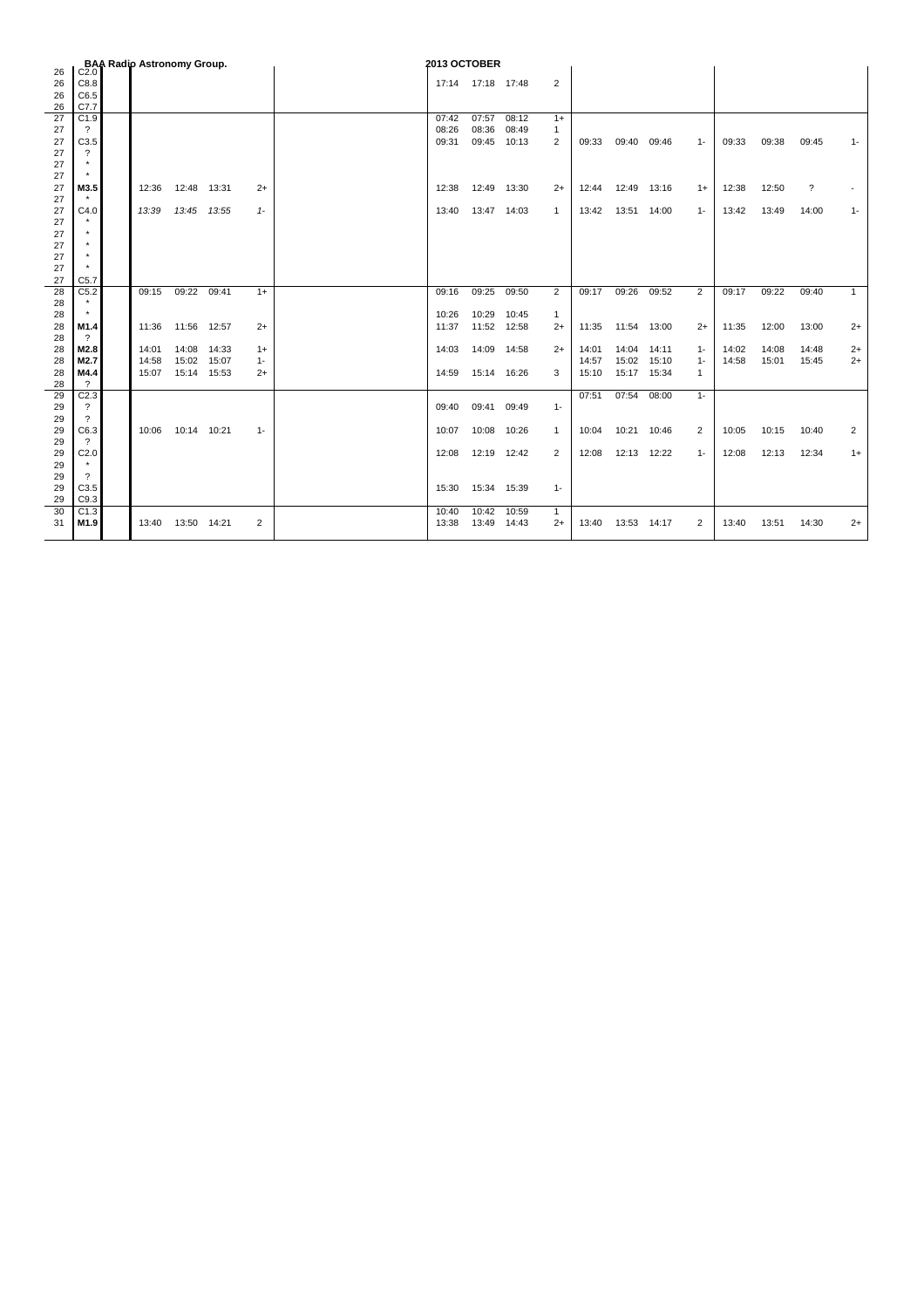| 26<br>C <sub>2.0</sub><br>26<br>C8.8<br>$\overline{2}$<br>17:14 17:18 17:48<br>26<br>C6.5<br>C7.7<br>26<br>27<br>C1.9<br>07:57<br>08:12<br>07:42<br>$1+$<br>08:36<br>08:26<br>08:49<br>27<br>$\gamma$<br>$\mathbf{1}$<br>C3.5<br>09:45 10:13<br>27<br>09:31<br>2<br>09:33<br>09:40 09:46<br>09:33<br>09:38<br>$1 -$ | 09:45<br>$1 -$<br>$\overline{\mathcal{E}}$ |
|---------------------------------------------------------------------------------------------------------------------------------------------------------------------------------------------------------------------------------------------------------------------------------------------------------------------|--------------------------------------------|
|                                                                                                                                                                                                                                                                                                                     |                                            |
|                                                                                                                                                                                                                                                                                                                     |                                            |
|                                                                                                                                                                                                                                                                                                                     |                                            |
|                                                                                                                                                                                                                                                                                                                     |                                            |
|                                                                                                                                                                                                                                                                                                                     |                                            |
|                                                                                                                                                                                                                                                                                                                     |                                            |
| 27<br>?                                                                                                                                                                                                                                                                                                             |                                            |
| 27                                                                                                                                                                                                                                                                                                                  |                                            |
| 27                                                                                                                                                                                                                                                                                                                  |                                            |
| M3.5<br>12:50<br>27<br>12:48 13:31<br>12:49 13:30<br>12:49<br>12:38<br>12:36<br>$2+$<br>12:38<br>$2+$<br>12:44<br>13:16<br>$1+$                                                                                                                                                                                     |                                            |
| 27                                                                                                                                                                                                                                                                                                                  |                                            |
| 27<br>C4.0<br>13:45 13:55<br>13:47 14:03<br>$\mathbf{1}$<br>13:51 14:00<br>13:49<br>13:39<br>$1 -$<br>13:40<br>13:42<br>$1 -$<br>13:42                                                                                                                                                                              | 14:00<br>$1 -$                             |
| 27<br>27                                                                                                                                                                                                                                                                                                            |                                            |
| 27                                                                                                                                                                                                                                                                                                                  |                                            |
| 27                                                                                                                                                                                                                                                                                                                  |                                            |
| 27                                                                                                                                                                                                                                                                                                                  |                                            |
| 27<br>C <sub>5.7</sub>                                                                                                                                                                                                                                                                                              |                                            |
| 28<br>C5.2<br>09:22 09:41<br>09:26<br>09:25<br>09:50<br>2<br>09:17<br>09:52<br>$\overline{2}$<br>09:17<br>09:22<br>09:15<br>$1+$<br>09:16                                                                                                                                                                           | 09:40<br>$\mathbf{1}$                      |
| $\star$<br>28                                                                                                                                                                                                                                                                                                       |                                            |
| 10:29<br>28<br>10:26<br>10:45<br>$\mathbf{1}$                                                                                                                                                                                                                                                                       |                                            |
| 28<br>M1.4<br>11:56 12:57<br>11:52 12:58<br>12:00<br>$2+$<br>11:37<br>$2+$<br>11:35<br>11:54 13:00<br>$2+$<br>11:35<br>11:36                                                                                                                                                                                        | 13:00<br>$2+$                              |
| $\overline{\mathcal{E}}$<br>28                                                                                                                                                                                                                                                                                      |                                            |
| M2.8<br>14:08 14:33<br>14:09 14:58<br>$2+$<br>14:04<br>14:08<br>28<br>14:01<br>14:03<br>14:01<br>14:11<br>14:02<br>$1+$<br>$1 -$<br>M2.7<br>15:02<br>15:07<br>15:02<br>15:10<br>14:58<br>15:01<br>14:58<br>14:57                                                                                                    | 14:48<br>$2+$<br>15:45<br>$2+$             |
| 28<br>$1 -$<br>$1 -$<br>15:14 15:53<br>15:17 15:34<br>M4.4<br>15:07<br>15:14 16:26<br>3<br>15:10<br>28<br>$2+$<br>14:59<br>1                                                                                                                                                                                        |                                            |
| 28<br>$\gamma$                                                                                                                                                                                                                                                                                                      |                                            |
| C <sub>2.3</sub><br>07:54<br>29<br>07:51<br>08:00<br>$1 -$                                                                                                                                                                                                                                                          |                                            |
| $\overline{\mathcal{L}}$<br>29<br>09:41<br>09:49<br>$1 -$<br>09:40                                                                                                                                                                                                                                                  |                                            |
| $\overline{\mathcal{E}}$<br>29                                                                                                                                                                                                                                                                                      |                                            |
| C6.3<br>29<br>10:14 10:21<br>10:08<br>10:21<br>10:15<br>10:06<br>$1 -$<br>10:07<br>10:26<br>$\mathbf{1}$<br>10:04<br>10:46<br>2<br>10:05                                                                                                                                                                            | 10:40<br>2                                 |
| $\overline{\mathcal{L}}$<br>29                                                                                                                                                                                                                                                                                      |                                            |
| C2.0<br>12:19 12:42<br>2<br>12:13 12:22<br>12:13<br>29<br>12:08<br>12:08<br>$1 -$<br>12:08                                                                                                                                                                                                                          | 12:34<br>$1+$                              |
| 29                                                                                                                                                                                                                                                                                                                  |                                            |
| 29<br>$\gamma$                                                                                                                                                                                                                                                                                                      |                                            |
| C3.5<br>15:34 15:39<br>29<br>15:30<br>$1 -$<br>C9.3<br>29                                                                                                                                                                                                                                                           |                                            |
| C1.3<br>10:42 10:59<br>30<br>10:40<br>$\mathbf{1}$                                                                                                                                                                                                                                                                  |                                            |
| 13:50 14:21<br>M1.9<br>2<br>13:38<br>13:49<br>14:43<br>13:53 14:17<br>13:51<br>31<br>13:40<br>$2+$<br>13:40<br>2<br>13:40                                                                                                                                                                                           | 14:30<br>$2+$                              |
|                                                                                                                                                                                                                                                                                                                     |                                            |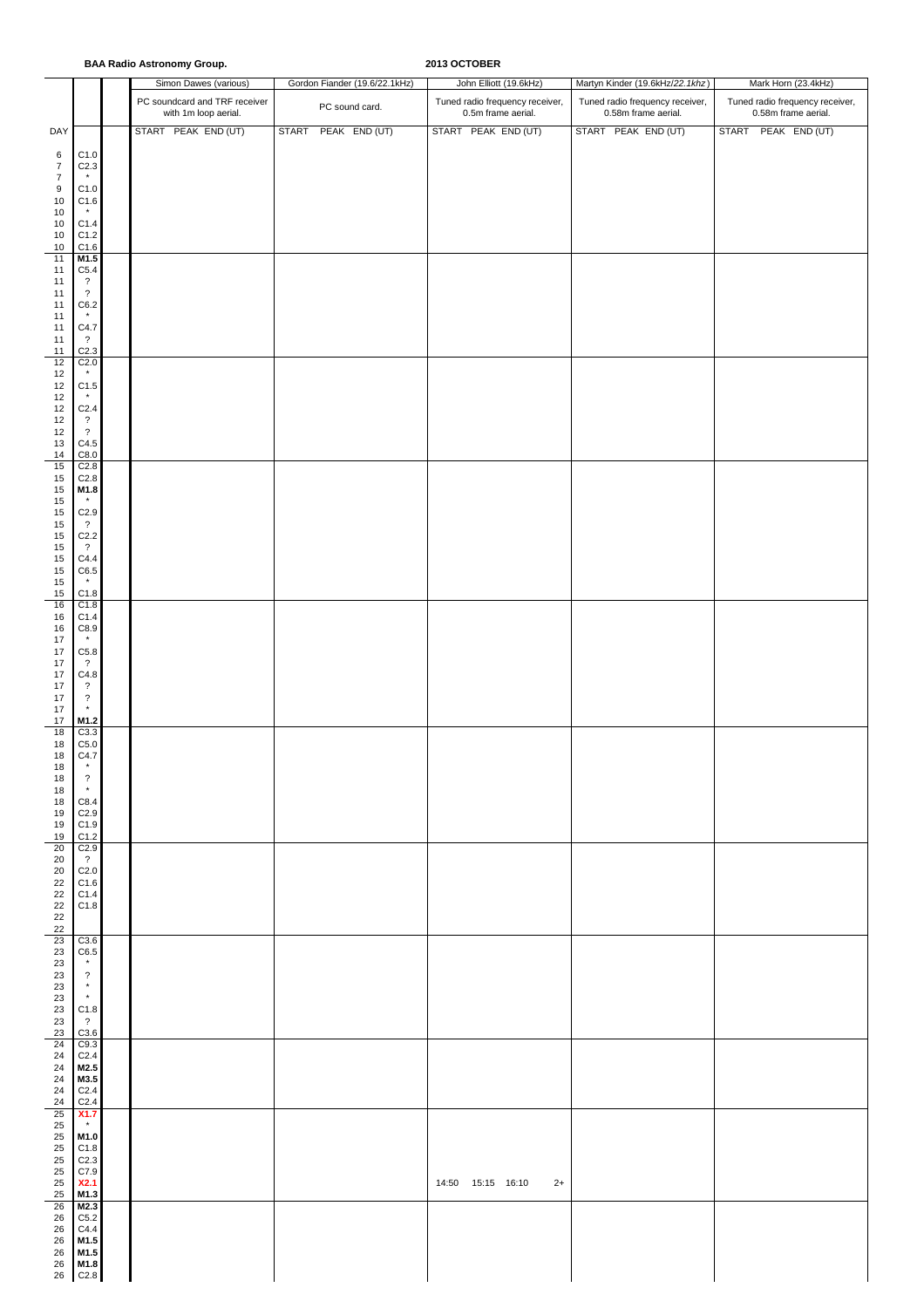|                                      |                                                | <b>BAA Radio Astronomy Group.</b>                     |                               | 2013 OCTOBER                                          |                                                        |                                                        |
|--------------------------------------|------------------------------------------------|-------------------------------------------------------|-------------------------------|-------------------------------------------------------|--------------------------------------------------------|--------------------------------------------------------|
|                                      |                                                | Simon Dawes (various)                                 | Gordon Fiander (19.6/22.1kHz) | John Elliott (19.6kHz)                                | Martyn Kinder (19.6kHz/22.1khz)                        | Mark Horn (23.4kHz)                                    |
|                                      |                                                | PC soundcard and TRF receiver<br>with 1m loop aerial. | PC sound card.                | Tuned radio frequency receiver,<br>0.5m frame aerial. | Tuned radio frequency receiver,<br>0.58m frame aerial. | Tuned radio frequency receiver,<br>0.58m frame aerial. |
| DAY                                  |                                                | START PEAK END (UT)                                   | START PEAK END (UT)           | START PEAK END (UT)                                   | START PEAK END (UT)                                    | START PEAK END (UT)                                    |
| 6<br>$\boldsymbol{7}$                | C1.0<br>C <sub>2.3</sub>                       |                                                       |                               |                                                       |                                                        |                                                        |
| $\boldsymbol{7}$<br>$\boldsymbol{9}$ | C1.0                                           |                                                       |                               |                                                       |                                                        |                                                        |
| $10$<br>10                           | C1.6                                           |                                                       |                               |                                                       |                                                        |                                                        |
| $10$<br>$10$                         | C1.4<br>C1.2                                   |                                                       |                               |                                                       |                                                        |                                                        |
| 10<br>$11$                           | C1.6<br>M1.5                                   |                                                       |                               |                                                       |                                                        |                                                        |
| 11                                   | C5.4                                           |                                                       |                               |                                                       |                                                        |                                                        |
| 11<br>11                             | $\overline{\cdot}$<br>$\overline{\mathcal{L}}$ |                                                       |                               |                                                       |                                                        |                                                        |
| 11<br>11                             | C6.2<br>$\pmb{\star}$                          |                                                       |                               |                                                       |                                                        |                                                        |
| 11<br>11                             | C4.7<br>$\cdot$ ?                              |                                                       |                               |                                                       |                                                        |                                                        |
| 11<br>12                             | C <sub>2.3</sub><br>C <sub>2.0</sub>           |                                                       |                               |                                                       |                                                        |                                                        |
| 12<br>12                             | $\star$<br>C1.5                                |                                                       |                               |                                                       |                                                        |                                                        |
| $12\,$<br>$12\,$                     | $\star$<br>C <sub>2.4</sub>                    |                                                       |                               |                                                       |                                                        |                                                        |
| $12\,$<br>12                         | $\overline{\mathcal{L}}$<br>$\overline{?}$     |                                                       |                               |                                                       |                                                        |                                                        |
| $13\,$<br>$14$                       | C4.5<br>C8.0                                   |                                                       |                               |                                                       |                                                        |                                                        |
| 15<br>$15\,$                         | C <sub>2.8</sub><br>C2.8                       |                                                       |                               |                                                       |                                                        |                                                        |
| $15\,$<br>15                         | M1.8<br>$\star$                                |                                                       |                               |                                                       |                                                        |                                                        |
| 15<br>15                             | C2.9<br>$\cdot$ ?                              |                                                       |                               |                                                       |                                                        |                                                        |
| 15<br>15                             | C2.2<br>$\overline{?}$                         |                                                       |                               |                                                       |                                                        |                                                        |
| $15\,$<br>$15\,$                     | C4.4<br>C6.5                                   |                                                       |                               |                                                       |                                                        |                                                        |
| 15<br>15                             | $^\star$<br>C1.8                               |                                                       |                               |                                                       |                                                        |                                                        |
| 16<br>16                             | C1.8<br>C1.4                                   |                                                       |                               |                                                       |                                                        |                                                        |
| 16<br>17                             | C8.9<br>$\star$                                |                                                       |                               |                                                       |                                                        |                                                        |
| $17\,$<br>17                         | C5.8<br>$\cdot$                                |                                                       |                               |                                                       |                                                        |                                                        |
| 17<br>17                             | C4.8<br>$\cdot$                                |                                                       |                               |                                                       |                                                        |                                                        |
| 17<br>$17\,$                         | $\overline{\mathcal{E}}$<br>$\star$            |                                                       |                               |                                                       |                                                        |                                                        |
| 17<br>18                             | M1.2<br>C3.3                                   |                                                       |                               |                                                       |                                                        |                                                        |
| 18<br>18                             | C5.0<br>C4.7                                   |                                                       |                               |                                                       |                                                        |                                                        |
| 18<br>18                             | $\star$<br>$\overline{\mathcal{E}}$            |                                                       |                               |                                                       |                                                        |                                                        |
| 18<br>18                             | $\star$<br>C8.4                                |                                                       |                               |                                                       |                                                        |                                                        |
| 19<br>19                             | C <sub>2.9</sub><br>C1.9                       |                                                       |                               |                                                       |                                                        |                                                        |
| 19<br>$20\,$                         | C1.2<br>C2.9                                   |                                                       |                               |                                                       |                                                        |                                                        |
| 20<br>20                             | $\overline{?}$<br>C <sub>2.0</sub>             |                                                       |                               |                                                       |                                                        |                                                        |
| 22<br>22                             | C1.6<br>C1.4                                   |                                                       |                               |                                                       |                                                        |                                                        |
| 22<br>22                             | C1.8                                           |                                                       |                               |                                                       |                                                        |                                                        |
| 22<br>23<br>23                       | C3.6<br>C6.5                                   |                                                       |                               |                                                       |                                                        |                                                        |
| $23\,$<br>23                         | $\star$<br>$\overline{\cdot}$                  |                                                       |                               |                                                       |                                                        |                                                        |
| 23<br>23                             | $\star$<br>$\pmb{\star}$                       |                                                       |                               |                                                       |                                                        |                                                        |
| $23\,$<br>23                         | C1.8<br>$\overline{?}$                         |                                                       |                               |                                                       |                                                        |                                                        |
| 23<br>24                             | C3.6<br>C9.3                                   |                                                       |                               |                                                       |                                                        |                                                        |
| 24<br>24                             | C <sub>2.4</sub><br>M2.5                       |                                                       |                               |                                                       |                                                        |                                                        |
| 24<br>24                             | M3.5<br>C <sub>2.4</sub>                       |                                                       |                               |                                                       |                                                        |                                                        |
| 24<br>25                             | C <sub>2.4</sub><br>X1.7                       |                                                       |                               |                                                       |                                                        |                                                        |
| 25<br>25                             | $\star$<br>M1.0                                |                                                       |                               |                                                       |                                                        |                                                        |
| 25<br>25                             | C1.8<br>C <sub>2.3</sub>                       |                                                       |                               |                                                       |                                                        |                                                        |
| 25<br>25                             | C7.9<br>X2.1                                   |                                                       |                               | 14:50  15:15  16:10<br>$2+$                           |                                                        |                                                        |
| 25<br>26                             | M1.3<br>M2.3                                   |                                                       |                               |                                                       |                                                        |                                                        |
| 26<br>26                             | C5.2<br>C4.4                                   |                                                       |                               |                                                       |                                                        |                                                        |
| 26<br>26                             | M1.5<br>M1.5                                   |                                                       |                               |                                                       |                                                        |                                                        |
| 26                                   | M1.8<br>26 C2.8                                |                                                       |                               |                                                       |                                                        |                                                        |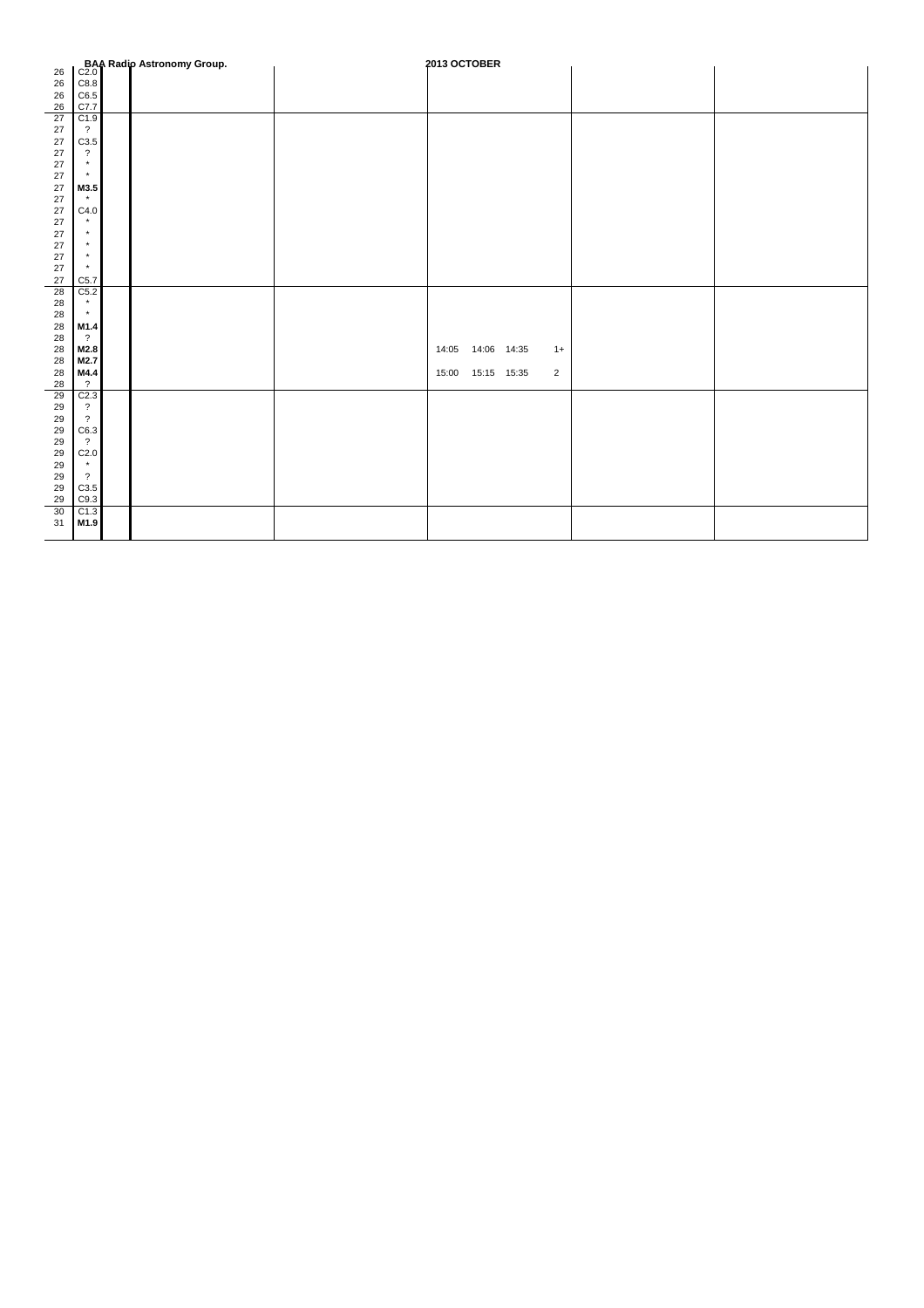|          |                          | <b>BAA Radio Astronomy Group.</b><br>C2.0 | 2013 OCTOBER         |                |  |
|----------|--------------------------|-------------------------------------------|----------------------|----------------|--|
| 26       |                          |                                           |                      |                |  |
| 26       | C8.8                     |                                           |                      |                |  |
| 26       | C6.5                     |                                           |                      |                |  |
| 26       | C7.7                     |                                           |                      |                |  |
| 27       | C1.9                     |                                           |                      |                |  |
| 27       | $\overline{\mathcal{L}}$ |                                           |                      |                |  |
| 27       | C3.5                     |                                           |                      |                |  |
| 27       | $\overline{\mathcal{L}}$ |                                           |                      |                |  |
| 27       | $^\star$                 |                                           |                      |                |  |
| 27       | $\star$                  |                                           |                      |                |  |
| 27       | M3.5                     |                                           |                      |                |  |
| 27       | $\star$                  |                                           |                      |                |  |
| 27       | C4.0                     |                                           |                      |                |  |
| 27       | $\star$<br>$\star$       |                                           |                      |                |  |
| 27       | $\star$                  |                                           |                      |                |  |
| 27       | $\star$                  |                                           |                      |                |  |
| 27       | $\star$                  |                                           |                      |                |  |
| 27       |                          |                                           |                      |                |  |
| 27<br>28 | C5.7                     |                                           |                      |                |  |
|          | C5.2<br>$\star$          |                                           |                      |                |  |
| 28<br>28 | $\pmb{\star}$            |                                           |                      |                |  |
| 28       | M1.4                     |                                           |                      |                |  |
| 28       | $\overline{?}$           |                                           |                      |                |  |
| 28       | M2.8                     |                                           | 14:06 14:35<br>14:05 | $1+$           |  |
| 28       | M2.7                     |                                           |                      |                |  |
| 28       | M4.4                     |                                           | 15:00  15:15  15:35  | $\overline{2}$ |  |
| 28       | $\overline{?}$           |                                           |                      |                |  |
| 29       | C <sub>2.3</sub>         |                                           |                      |                |  |
| 29       | $\overline{\mathcal{E}}$ |                                           |                      |                |  |
| 29       | $\overline{?}$           |                                           |                      |                |  |
| 29       | C6.3                     |                                           |                      |                |  |
| 29       | $\overline{?}$           |                                           |                      |                |  |
| 29       | C2.0                     |                                           |                      |                |  |
| 29       | $\star$                  |                                           |                      |                |  |
| 29       | $\overline{\mathcal{L}}$ |                                           |                      |                |  |
| 29       | C3.5                     |                                           |                      |                |  |
| 29       | C9.3                     |                                           |                      |                |  |
| 30       | C1.3                     |                                           |                      |                |  |
| 31       | M1.9                     |                                           |                      |                |  |
|          |                          |                                           |                      |                |  |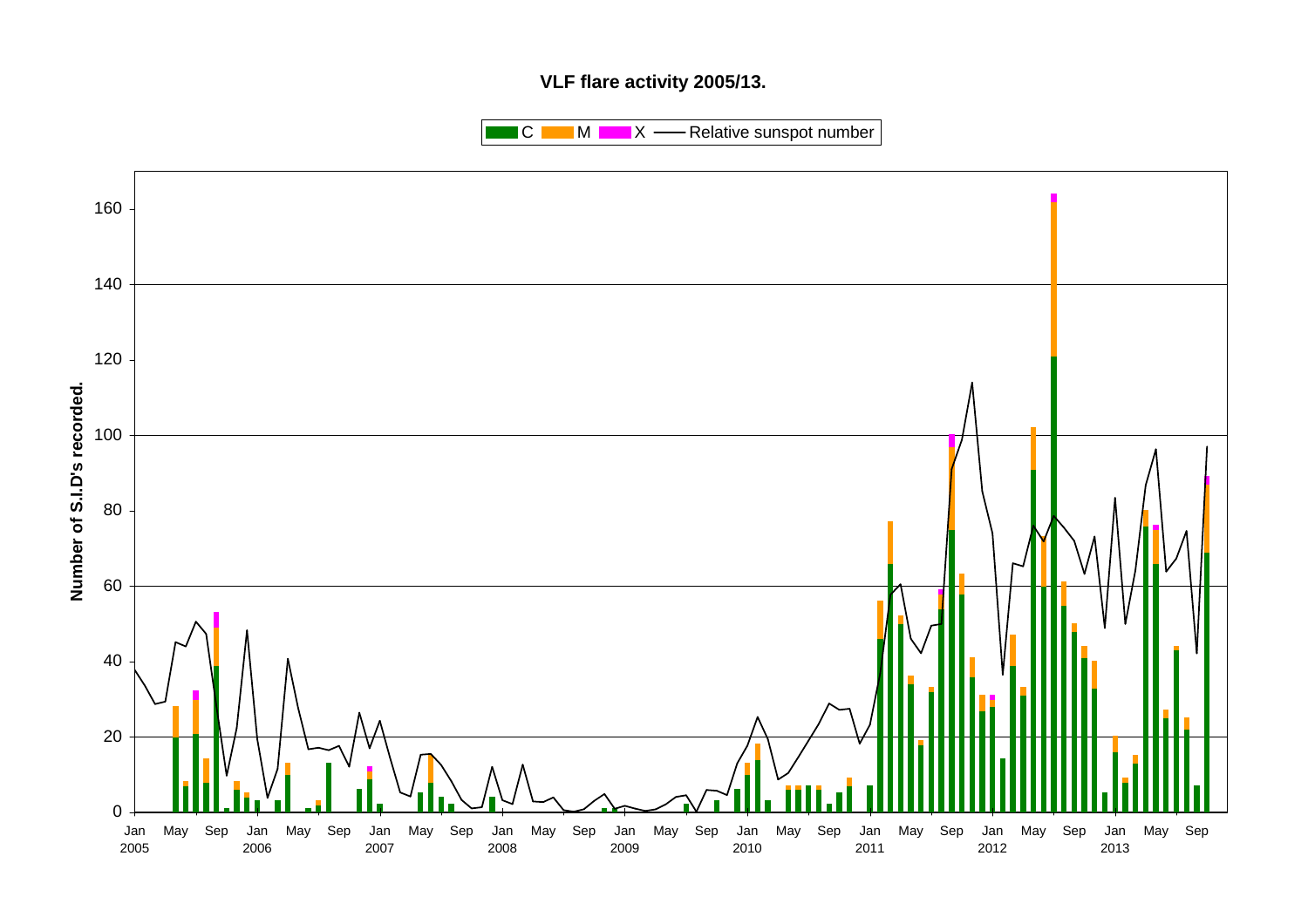# **VLF flare activity 2005/13.**

 $\blacksquare$  C  $\blacksquare$  M  $\blacksquare$   $\blacksquare$  X  $\blacksquare$  Relative sunspot number

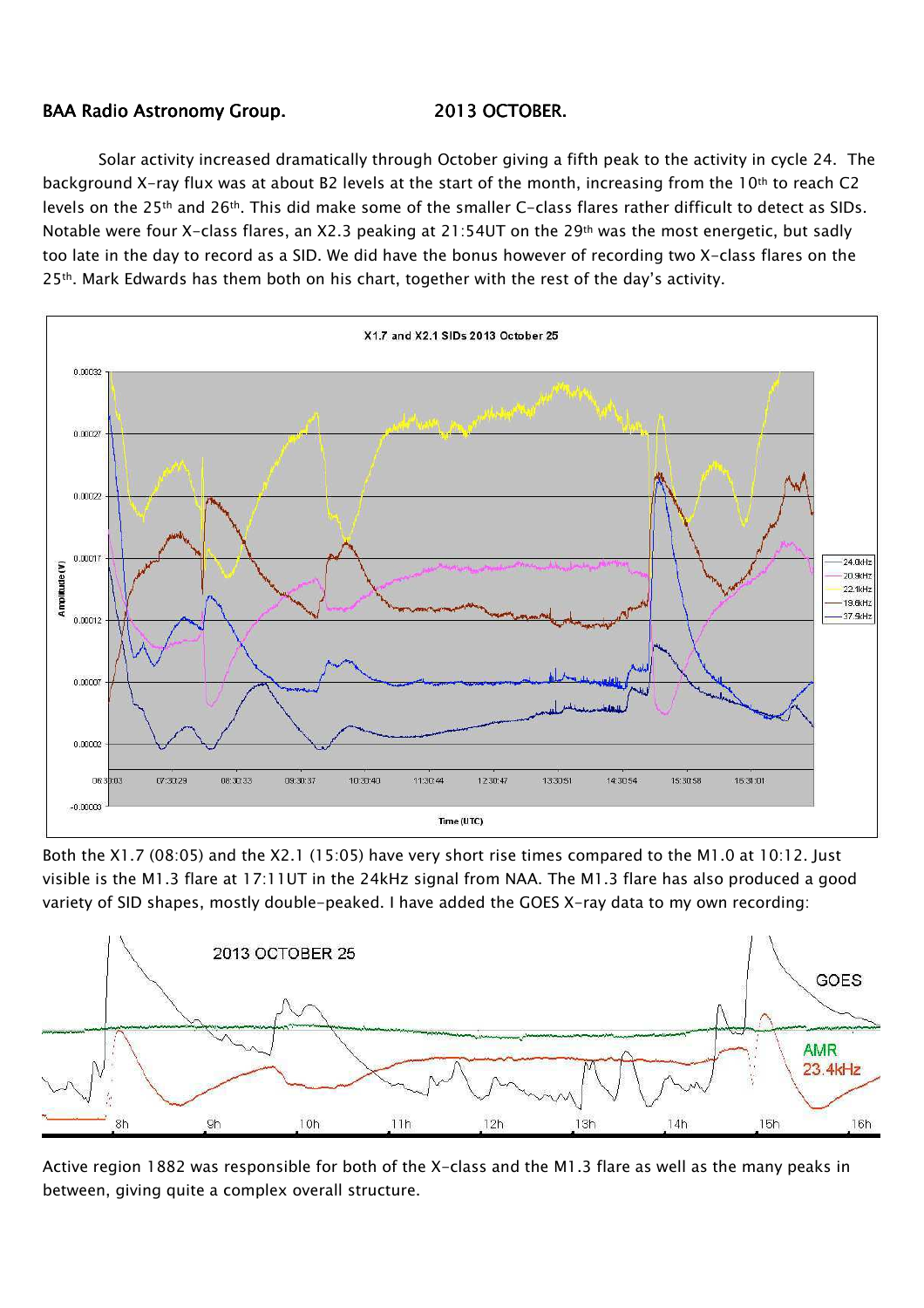## BAA Radio Astronomy Group. 2013 OCTOBER.

Solar activity increased dramatically through October giving a fifth peak to the activity in cycle 24. The background X-ray flux was at about B2 levels at the start of the month, increasing from the 10<sup>th</sup> to reach C2 levels on the 25th and 26th. This did make some of the smaller C-class flares rather difficult to detect as SIDs. Notable were four X-class flares, an X2.3 peaking at 21:54UT on the 29th was the most energetic, but sadly too late in the day to record as a SID. We did have the bonus however of recording two X-class flares on the  $25<sup>th</sup>$ . Mark Edwards has them both on his chart, together with the rest of the day's activity.



Both the X1.7 (08:05) and the X2.1 (15:05) have very short rise times compared to the M1.0 at 10:12. Just visible is the M1.3 flare at 17:11UT in the 24kHz signal from NAA. The M1.3 flare has also produced a good variety of SID shapes, mostly double-peaked. I have added the GOES X-ray data to my own recording:



Active region 1882 was responsible for both of the X-class and the M1.3 flare as well as the many peaks in between, giving quite a complex overall structure.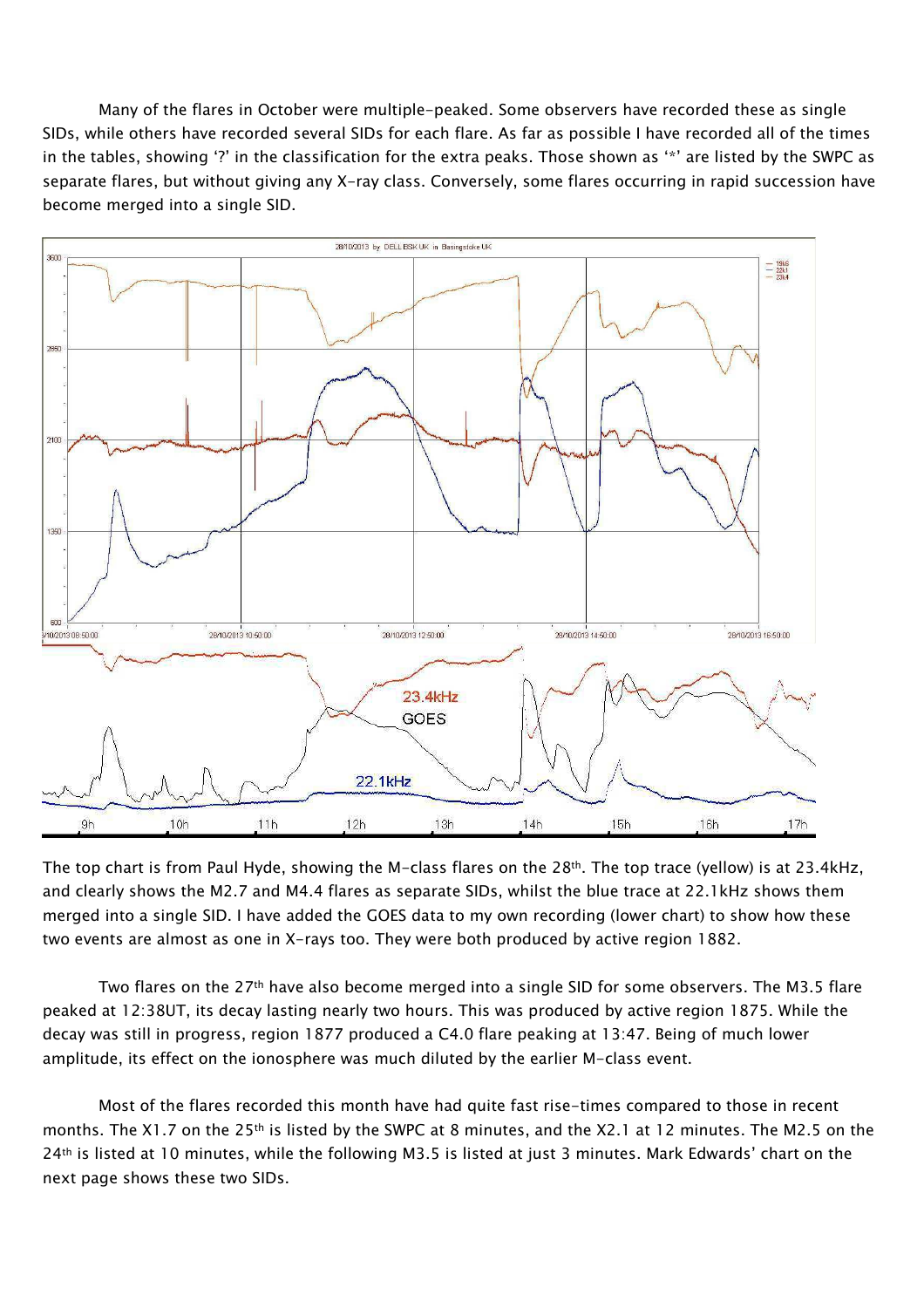Many of the flares in October were multiple-peaked. Some observers have recorded these as single SIDs, while others have recorded several SIDs for each flare. As far as possible I have recorded all of the times in the tables, showing '?' in the classification for the extra peaks. Those shown as '\*' are listed by the SWPC as separate flares, but without giving any X-ray class. Conversely, some flares occurring in rapid succession have become merged into a single SID.



The top chart is from Paul Hyde, showing the M-class flares on the 28th. The top trace (yellow) is at 23.4kHz, and clearly shows the M2.7 and M4.4 flares as separate SIDs, whilst the blue trace at 22.1kHz shows them merged into a single SID. I have added the GOES data to my own recording (lower chart) to show how these two events are almost as one in X-rays too. They were both produced by active region 1882.

Two flares on the 27<sup>th</sup> have also become merged into a single SID for some observers. The M3.5 flare peaked at 12:38UT, its decay lasting nearly two hours. This was produced by active region 1875. While the decay was still in progress, region 1877 produced a C4.0 flare peaking at 13:47. Being of much lower amplitude, its effect on the ionosphere was much diluted by the earlier M-class event.

Most of the flares recorded this month have had quite fast rise-times compared to those in recent months. The X1.7 on the 25<sup>th</sup> is listed by the SWPC at 8 minutes, and the X2.1 at 12 minutes. The M2.5 on the 24<sup>th</sup> is listed at 10 minutes, while the following M3.5 is listed at just 3 minutes. Mark Edwards' chart on the next page shows these two SIDs.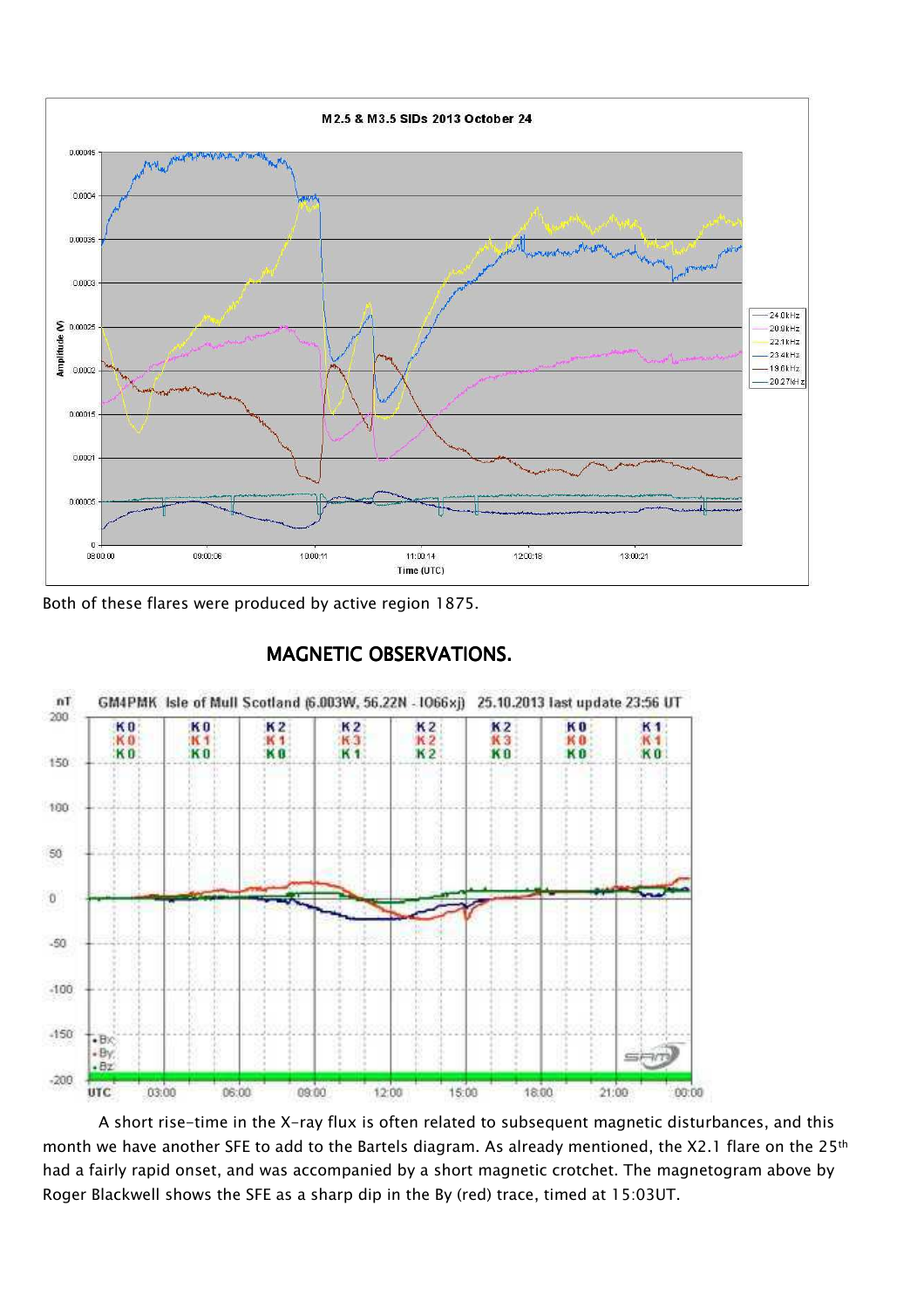

Both of these flares were produced by active region 1875.



# MAGNETIC OBSERVATIONS.

A short rise-time in the X-ray flux is often related to subsequent magnetic disturbances, and this month we have another SFE to add to the Bartels diagram. As already mentioned, the X2.1 flare on the 25<sup>th</sup> had a fairly rapid onset, and was accompanied by a short magnetic crotchet. The magnetogram above by Roger Blackwell shows the SFE as a sharp dip in the By (red) trace, timed at 15:03UT.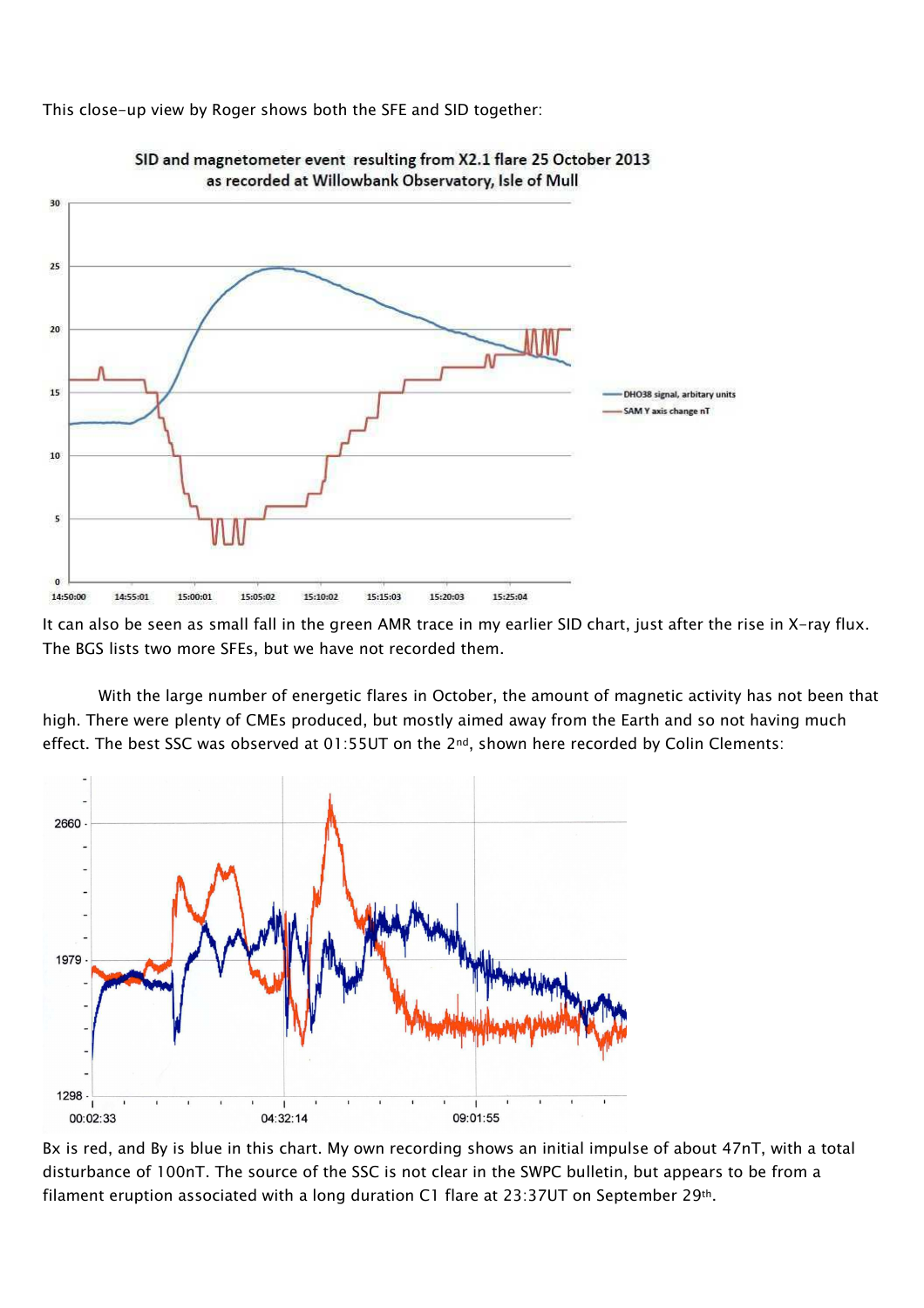This close-up view by Roger shows both the SFE and SID together:



SID and magnetometer event resulting from X2.1 flare 25 October 2013 as recorded at Willowbank Observatory, Isle of Mull

It can also be seen as small fall in the green AMR trace in my earlier SID chart, just after the rise in X-ray flux. The BGS lists two more SFEs, but we have not recorded them.

With the large number of energetic flares in October, the amount of magnetic activity has not been that high. There were plenty of CMEs produced, but mostly aimed away from the Earth and so not having much effect. The best SSC was observed at 01:55UT on the 2<sup>nd</sup>, shown here recorded by Colin Clements:



Bx is red, and By is blue in this chart. My own recording shows an initial impulse of about 47nT, with a total disturbance of 100nT. The source of the SSC is not clear in the SWPC bulletin, but appears to be from a filament eruption associated with a long duration C1 flare at 23:37UT on September 29th.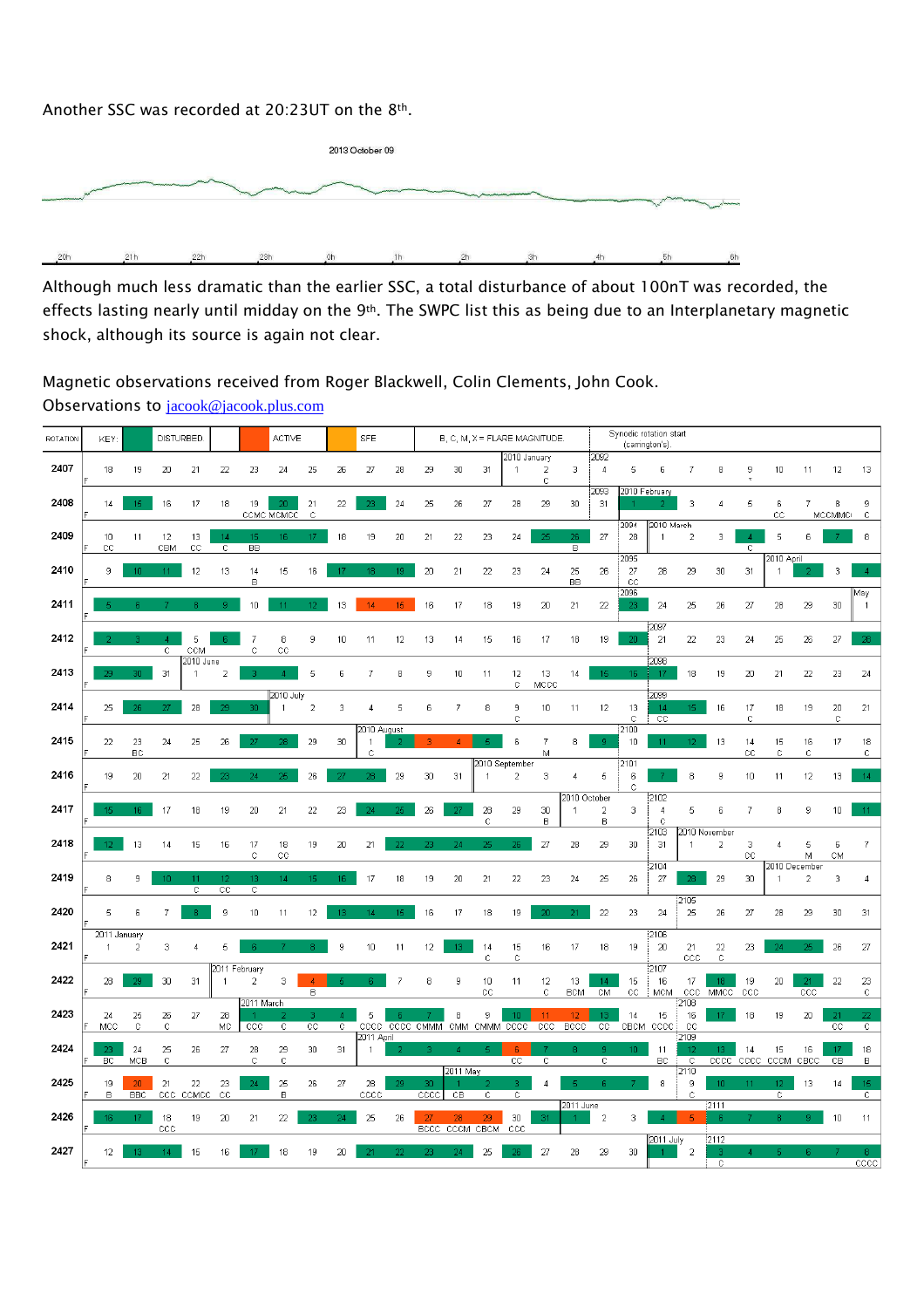### Another SSC was recorded at 20:23UT on the 8th.



Although much less dramatic than the earlier SSC, a total disturbance of about 100nT was recorded, the effects lasting nearly until midday on the 9<sup>th</sup>. The SWPC list this as being due to an Interplanetary magnetic shock, although its source is again not clear.

## Magnetic observations received from Roger Blackwell, Colin Clements, John Cook. Observations to jacook@jacook.plus.com

| ROTATION | DISTURBED.<br>KEY              |                               |                    |                                           |                   |                                 | <b>ACTIVE</b>                 |                    |                     | <b>SFE</b>                                      |          | B, C, M, X = FLARE MAGNITUDE. |                        |                     |                              |                     |                              |                        | (carrington's)            | Synodic rotation start                |                            |                                          |                   |                                 |                      |              |                      |
|----------|--------------------------------|-------------------------------|--------------------|-------------------------------------------|-------------------|---------------------------------|-------------------------------|--------------------|---------------------|-------------------------------------------------|----------|-------------------------------|------------------------|---------------------|------------------------------|---------------------|------------------------------|------------------------|---------------------------|---------------------------------------|----------------------------|------------------------------------------|-------------------|---------------------------------|----------------------|--------------|----------------------|
| 2407     | 18                             | 19                            | 20                 | 21                                        | 22                | 23                              | 24                            | 25                 | 26                  | 27                                              | 28       | 29                            | 30                     | 31                  | 2010 January<br>$\mathbf{1}$ | $\overline{2}$<br>C | 3                            | 2092<br>$\overline{4}$ | 5                         | 6                                     | 7                          | 8                                        | 9                 | 10                              | 11                   | 12           | 13                   |
| 2408     | 14                             | 15                            | 16                 | 17                                        | 18                | 19                              | 20 <sub>1</sub><br>ссме мемес | 21<br>$\mathbb{C}$ | 22                  | 23                                              | 24       | 25                            | 26                     | 27                  | 28                           | 29                  | 30                           | 2093<br>31             | 2010 February             |                                       | 3                          | 4                                        | 5                 | 6<br>CC                         | 7                    | 8<br>MCCMMCI | 9<br>$\mathbb{C}$    |
| 2409     | 10<br>$_{\rm CC}$              | 11                            | 12<br>CBM          | 13<br>$_{\rm CC}$                         | 14<br>C           | 15<br>BB                        | 16                            | 17                 | 18                  | 19                                              | 20       | 21                            | 22                     | 23                  | 24                           | つら                  | 26<br>B                      | 27                     | 2094<br>28                | 2010 March<br>$\mathbf{1}$            | $\overline{c}$             | 3                                        | C.                | 5                               | ĥ                    |              | 8                    |
| 2410     | 9                              | 1 <sub>0</sub>                | 11                 | 12                                        | 13                | 14<br>B                         | 15                            | 16                 |                     | 18                                              | 19       | 20                            | 21                     | 22                  | 23                           | 24                  | 25<br>BB                     | 26                     | 2095<br>27<br>$_{\rm CC}$ | 28                                    | 29                         | $30\,$                                   | 31                | 2010 April<br>$\overline{1}$    |                      | 3            |                      |
| 2411     |                                |                               |                    |                                           | q.                | 10                              | 11                            |                    | 13                  | 14                                              | 15.      | 16                            | 17                     | 18                  | 19                           | 20                  | 21                           | 22                     | 2096<br>23.               | 24                                    | 25                         | 26                                       | 27                | 28                              | 29                   | 30           | May                  |
| 2412     |                                |                               | -4<br>C            | 5<br>CCM                                  |                   | $\overline{7}$<br>Ċ             | 8<br>cc                       | 9                  | 10                  | 11                                              | 12       | 13                            | 14                     | 15                  | 16                           | 17                  | 18                           | 19                     | 20                        | 2097<br>21                            | 22                         | 23                                       | 24                | 25                              | 26                   | 27           | 28                   |
| 2413     |                                | 30.                           | 31                 | $\overline{20}$ 10 June<br>$\overline{1}$ | $\overline{a}$    | R                               | $\Lambda$                     | 5                  | 6                   | $\overline{7}$                                  | 8        | 9                             | 10                     | 11                  | 12<br>c                      | 13<br>MCCC          | 14                           | 15                     | 16                        | 2098<br>17                            | 18                         | 19                                       | 20                | 21                              | 22                   | 23           | 24                   |
| 2414     | 25                             | 26                            | 27                 | 28                                        | 29                | 30                              | 2010 July<br>$\mathbf{1}$     | $\overline{2}$     | 3                   | 4                                               | 5        | 6                             | 7                      | 8                   | 9<br>C                       | 10                  | 11                           | 12                     | 13<br>C                   | 2099<br>14<br>$\overline{cc}$         | 15 <sub>1</sub>            | 16                                       | 17<br>c           | 18                              | 19                   | 20<br>C      | 21                   |
| 2415     | 22                             | 23<br>BC                      | 24                 | 25                                        | 26                |                                 |                               | 29                 | 30                  | 2010 August<br>$\overline{1}$<br>$\ddot{\rm C}$ |          |                               |                        |                     | 6                            | $\overline{7}$<br>M | 8                            | q.                     | 2100<br>10                | 11                                    | 12                         | 13                                       | 14<br>$_{\rm CC}$ | 15<br>Ċ                         | 16<br>$\ddot{\rm c}$ | 17           | 18<br>$\mathbb{C}$   |
| 2416     | 19                             | 20                            | 21                 | 22                                        | 23                | 24                              | 25                            | 26                 | 27                  | 28                                              | 29       | 30                            | 31                     | 2010 September<br>1 | $\overline{2}$               | 3                   | 4                            | 5                      | 2101<br>6<br>С            |                                       | 8                          | 9                                        | 10                | 11                              | 12                   | 13           | 14                   |
| 2417     |                                | $16-1$                        | 17                 | 18                                        | 19                | 20                              | 21                            | 22                 | 23                  | 24                                              |          | 26                            | 27                     | 28<br>Ċ             | 29                           | 30<br>$\mathsf B$   | 2010 October<br>$\mathbf{1}$ | $\overline{2}$<br>в    | 3                         | 2102<br>$\overline{4}$<br>$\mathbf C$ | 5                          | 6                                        | $\overline{7}$    | 8                               | 9                    | 10           | 11                   |
| 2418     | 12                             | 13                            | 14                 | 15                                        | 16                | 17<br>C                         | 18<br>cс                      | 19                 | 20                  | 21                                              |          | ລາ                            |                        | 25                  | 26                           | 27                  | 28                           | 29                     | 30                        | 2103<br>31                            | $\overline{1}$             | 2010 November<br>$\overline{\mathbf{c}}$ | 3<br>$_{\rm cc}$  | 4                               | 5<br>М               | 6<br>CM      | 7                    |
| 2419     | 8                              | 9                             |                    | 41<br>C                                   | 12<br>$_{\rm CC}$ | 13<br>С                         | 14                            | 15                 | 16                  | 17                                              | 18       | 19                            | 20                     | 21                  | 22                           | 23                  | 24                           | 25                     | 26                        | 2104<br>27                            |                            | 29                                       | 30                | 2010 December<br>$\overline{1}$ | $\overline{2}$       | 3            | 4                    |
| 2420     | 5                              | 6                             |                    |                                           | 9                 | 10                              | 11                            | 12                 | 13                  | 14                                              | 15       | 16                            | 17                     | 18                  | 19                           | 2n.                 | 21                           | 22                     | 23                        | 24                                    | 2105<br>25                 | 26                                       | 27                | 28                              | 29                   | 30           | 31                   |
| 2421     | 2011 January<br>$\overline{1}$ | 2                             | з                  | $\overline{4}$                            | 5                 | -6                              |                               | 8                  | 9                   | 10                                              | 11       | 12                            | 13                     | 14<br>C             | 15<br>$\mathbb C$            | 16                  | 17                           | 18                     | 19                        | 2106<br>20                            | 21<br>CCC                  | 22<br>С                                  | 23                | 24                              | 25                   | 26           | 27                   |
| 2422     | 28                             | DQ.                           | 30                 | 31                                        | -1                | 2011 February<br>$\overline{2}$ | 3                             | в                  |                     |                                                 | 7        | 8                             | 9                      | 10<br>сc            | 11                           | 12<br>C             | 13<br><b>BCM</b>             | 14 <sup>1</sup><br>CM  | 15<br>$_{\rm CC}$         | :2107<br>16<br><b>MCM</b>             | 17<br>ccc                  | 18 <sup>1</sup><br>MMCC                  | 19<br>CCC         | 20                              | 21<br>CCC            | 22           | 23<br>C              |
| 2423     | 24<br>MCC                      | 25<br>$\mathbb{C}$            | 26<br>$\mathbb{C}$ | 27                                        | 28<br><b>MC</b>   | 2011 March<br>CCC               | C                             | R<br>cc            | Δ<br>$\overline{C}$ | 5                                               | <b>R</b> | CCCC CCCC CMMM                | 8                      | 9<br>CMM CMMM CCCC  | 10 <sub>1</sub>              | 11<br>ccc           | 12<br>BCCC                   | 13<br>$_{\rm cc}$      | 14                        | 15<br>CBCM CCCC                       | 2108<br>16<br>CC           | 17                                       | 18                | 19                              | 20                   | 21<br>cc     | 22<br>$\overline{C}$ |
| 2424     | 23<br>BC                       | 24<br>MCB                     | 25<br>Ċ            | 26                                        | 27                | 28<br>$\ddot{C}$                | 29<br>$\mathbf C$             | 30                 | 31                  | 2011 April<br>$\mathbf{1}$                      |          |                               | Δ                      | д                   | <b>R</b><br>cc               | $\mathbb{C}$        |                              | $\overline{c}$         | 10 <sub>1</sub>           | 11<br>BC                              | 2109<br>12<br>$\mathbb{C}$ | 13 <sup>°</sup><br>cccc                  | 14<br>cccc        | 15<br>CCCM                      | 16<br>CBCC           | 17<br>CВ     | 18<br>в              |
| 2425     | 19<br>B                        | 20 <sub>2</sub><br><b>BBC</b> | 21<br>ccc          | 22<br>CCMCC                               | 23<br>$_{\rm CC}$ | 24                              | 25<br>в                       | 26                 | 27                  | 28<br>$_{\text{cccc}}$                          | 29       | 30<br>$\overline{cccc}$       | 2011 May<br>CB         | $\overline{c}$      | з.<br>$\overline{c}$         |                     | 5                            | -R                     |                           | 8                                     | 2110<br>9<br>$\mathbb{C}$  | 10                                       | 11                | 12<br>$\overline{\mathrm{c}}$   | 13                   | 14           | 15<br>$\overline{c}$ |
| 2426     | 16                             | 17                            | 18<br>ccc          | 19                                        | 20                | 21                              | 22                            | 23                 | 24                  | 25                                              | 26       | 27<br><b>BCCC</b>             | 28<br><b>CCCM CBCM</b> | 29                  | 30<br>ccc                    | 31                  | 2011 June                    | $\overline{2}$         | 3                         |                                       |                            | $\frac{1}{2111}$                         |                   |                                 |                      | 10           | 11                   |
| 2427     | 12                             |                               |                    | 15                                        | 16                |                                 | 18                            | 19                 | 20                  |                                                 |          |                               |                        | 25                  |                              | 27                  | 28                           | 29                     | 30                        | 2011 July                             | $\overline{2}$             | 2112                                     |                   |                                 |                      |              | 8                    |